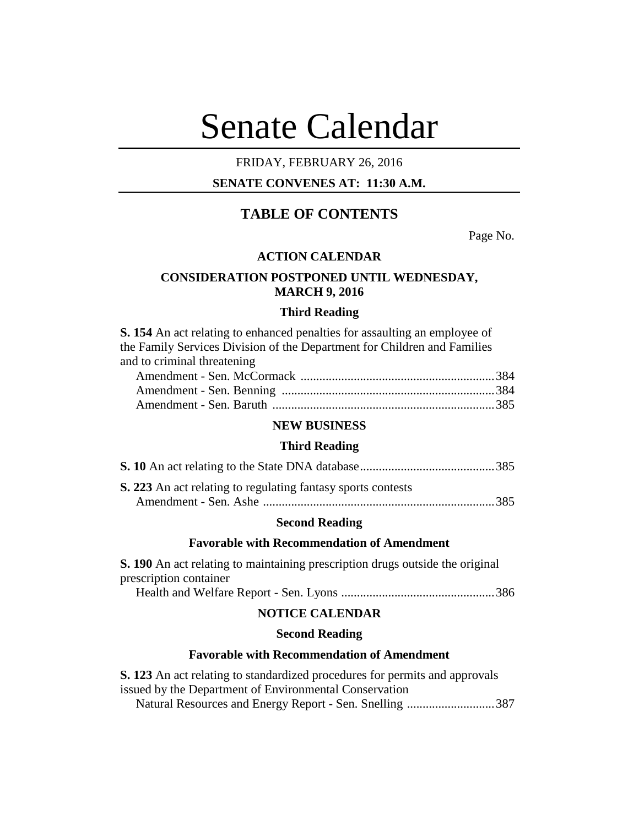# Senate Calendar

# FRIDAY, FEBRUARY 26, 2016

# **SENATE CONVENES AT: 11:30 A.M.**

# **TABLE OF CONTENTS**

Page No.

#### **ACTION CALENDAR**

# **CONSIDERATION POSTPONED UNTIL WEDNESDAY, MARCH 9, 2016**

# **Third Reading**

**S. 154** An act relating to enhanced penalties for assaulting an employee of the Family Services Division of the Department for Children and Families and to criminal threatening

# **NEW BUSINESS**

#### **Third Reading**

| S. 223 An act relating to regulating fantasy sports contests |  |
|--------------------------------------------------------------|--|
|                                                              |  |

# **Second Reading**

#### **Favorable with Recommendation of Amendment**

**S. 190** An act relating to maintaining prescription drugs outside the original prescription container

Health and Welfare Report - Sen. Lyons .................................................386

# **NOTICE CALENDAR**

# **Second Reading**

#### **Favorable with Recommendation of Amendment**

**S. 123** An act relating to standardized procedures for permits and approvals issued by the Department of Environmental Conservation Natural Resources and Energy Report - Sen. Snelling ............................387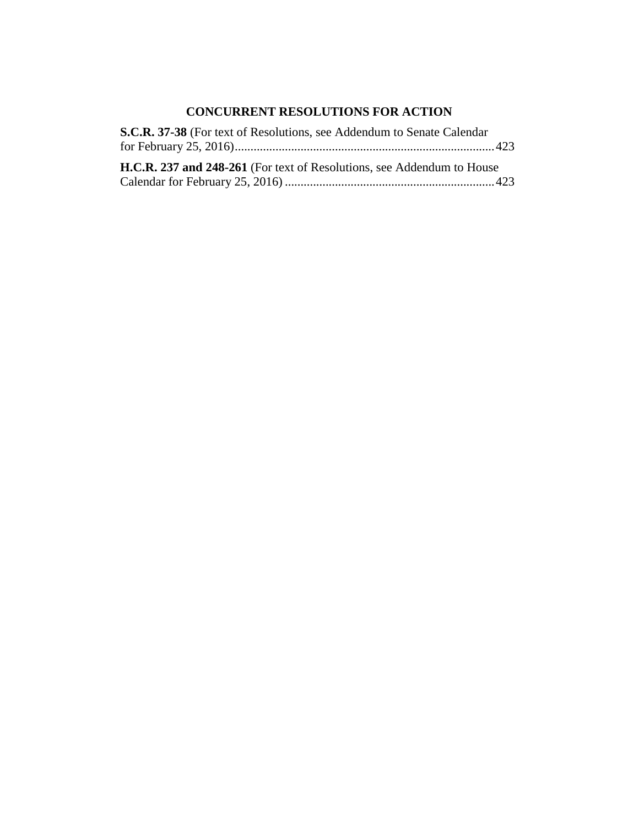# **CONCURRENT RESOLUTIONS FOR ACTION**

| S.C.R. 37-38 (For text of Resolutions, see Addendum to Senate Calendar        |
|-------------------------------------------------------------------------------|
|                                                                               |
| <b>H.C.R. 237 and 248-261</b> (For text of Resolutions, see Addendum to House |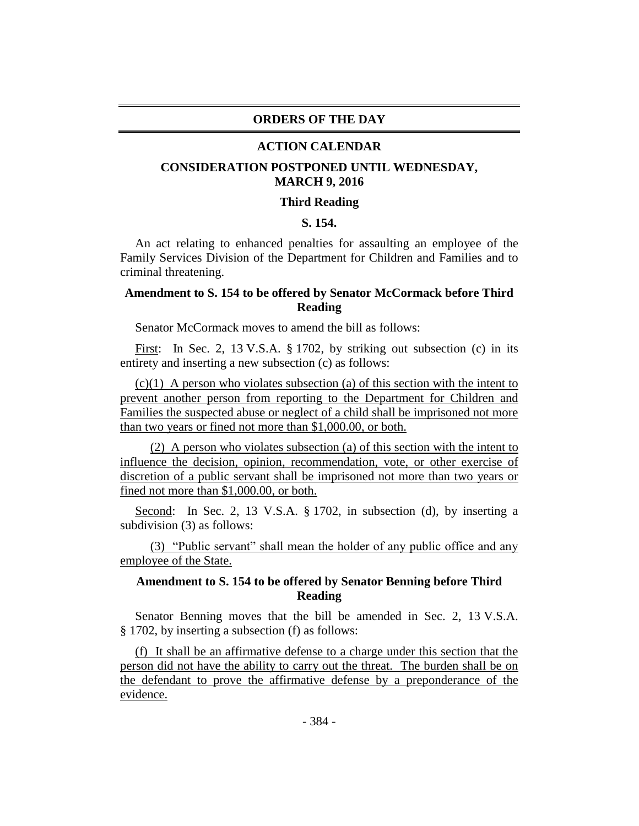# **ORDERS OF THE DAY**

#### **ACTION CALENDAR**

# **CONSIDERATION POSTPONED UNTIL WEDNESDAY, MARCH 9, 2016**

#### **Third Reading**

# **S. 154.**

An act relating to enhanced penalties for assaulting an employee of the Family Services Division of the Department for Children and Families and to criminal threatening.

# **Amendment to S. 154 to be offered by Senator McCormack before Third Reading**

Senator McCormack moves to amend the bill as follows:

First: In Sec. 2, 13 V.S.A. § 1702, by striking out subsection (c) in its entirety and inserting a new subsection (c) as follows:

 $(c)(1)$  A person who violates subsection (a) of this section with the intent to prevent another person from reporting to the Department for Children and Families the suspected abuse or neglect of a child shall be imprisoned not more than two years or fined not more than \$1,000.00, or both.

(2) A person who violates subsection (a) of this section with the intent to influence the decision, opinion, recommendation, vote, or other exercise of discretion of a public servant shall be imprisoned not more than two years or fined not more than \$1,000.00, or both.

Second: In Sec. 2, 13 V.S.A. § 1702, in subsection (d), by inserting a subdivision (3) as follows:

(3) "Public servant" shall mean the holder of any public office and any employee of the State.

# **Amendment to S. 154 to be offered by Senator Benning before Third Reading**

Senator Benning moves that the bill be amended in Sec. 2, 13 V.S.A. § 1702, by inserting a subsection (f) as follows:

(f) It shall be an affirmative defense to a charge under this section that the person did not have the ability to carry out the threat. The burden shall be on the defendant to prove the affirmative defense by a preponderance of the evidence.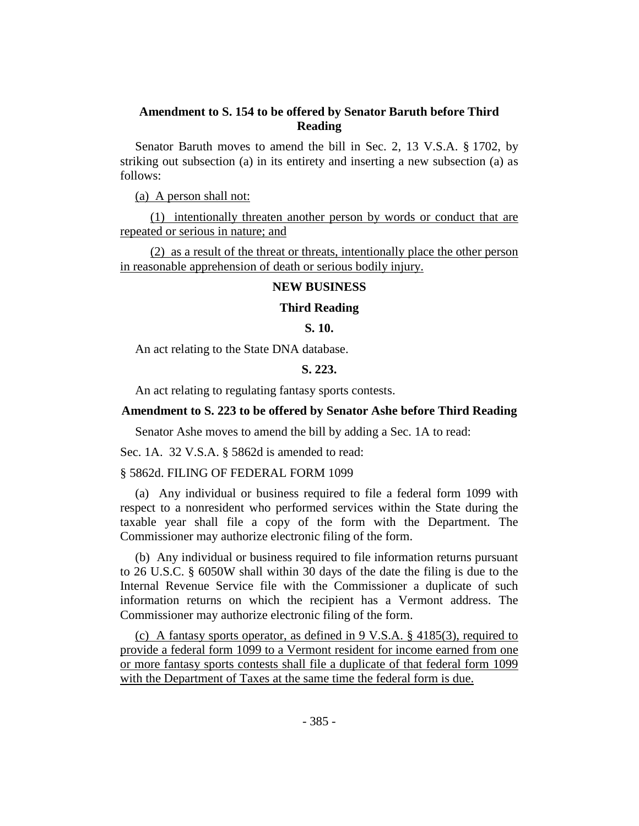# **Amendment to S. 154 to be offered by Senator Baruth before Third Reading**

Senator Baruth moves to amend the bill in Sec. 2, 13 V.S.A. § 1702, by striking out subsection (a) in its entirety and inserting a new subsection (a) as follows:

(a) A person shall not:

(1) intentionally threaten another person by words or conduct that are repeated or serious in nature; and

(2) as a result of the threat or threats, intentionally place the other person in reasonable apprehension of death or serious bodily injury.

# **NEW BUSINESS**

#### **Third Reading**

# **S. 10.**

An act relating to the State DNA database.

#### **S. 223.**

An act relating to regulating fantasy sports contests.

# **Amendment to S. 223 to be offered by Senator Ashe before Third Reading**

Senator Ashe moves to amend the bill by adding a Sec. 1A to read:

Sec. 1A. 32 V.S.A. § 5862d is amended to read:

#### § 5862d. FILING OF FEDERAL FORM 1099

(a) Any individual or business required to file a federal form 1099 with respect to a nonresident who performed services within the State during the taxable year shall file a copy of the form with the Department. The Commissioner may authorize electronic filing of the form.

(b) Any individual or business required to file information returns pursuant to 26 U.S.C. § 6050W shall within 30 days of the date the filing is due to the Internal Revenue Service file with the Commissioner a duplicate of such information returns on which the recipient has a Vermont address. The Commissioner may authorize electronic filing of the form.

(c) A fantasy sports operator, as defined in  $9 \text{ V.S.A.}$  § 4185(3), required to provide a federal form 1099 to a Vermont resident for income earned from one or more fantasy sports contests shall file a duplicate of that federal form 1099 with the Department of Taxes at the same time the federal form is due.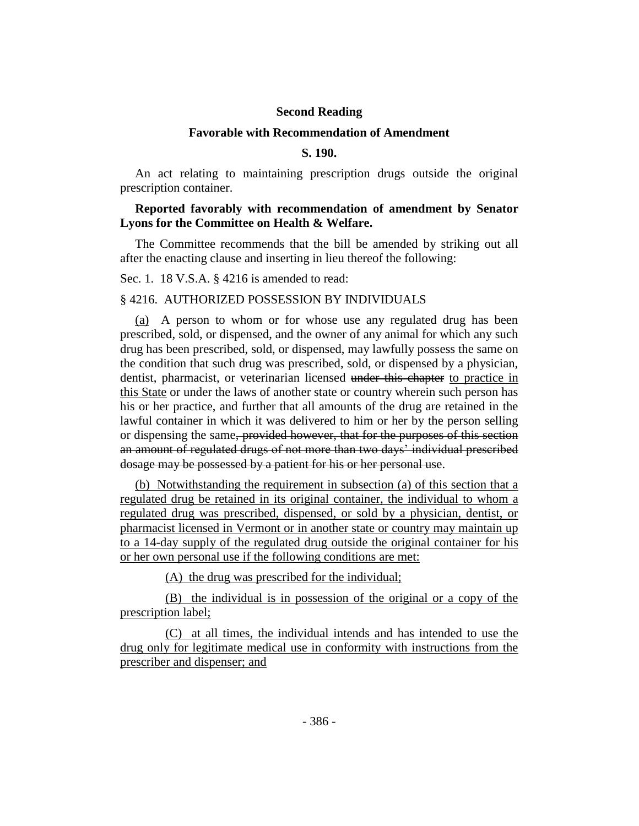# **Second Reading**

#### **Favorable with Recommendation of Amendment**

# **S. 190.**

An act relating to maintaining prescription drugs outside the original prescription container.

# **Reported favorably with recommendation of amendment by Senator Lyons for the Committee on Health & Welfare.**

The Committee recommends that the bill be amended by striking out all after the enacting clause and inserting in lieu thereof the following:

Sec. 1. 18 V.S.A. § 4216 is amended to read:

#### § 4216. AUTHORIZED POSSESSION BY INDIVIDUALS

(a) A person to whom or for whose use any regulated drug has been prescribed, sold, or dispensed, and the owner of any animal for which any such drug has been prescribed, sold, or dispensed, may lawfully possess the same on the condition that such drug was prescribed, sold, or dispensed by a physician, dentist, pharmacist, or veterinarian licensed under this chapter to practice in this State or under the laws of another state or country wherein such person has his or her practice, and further that all amounts of the drug are retained in the lawful container in which it was delivered to him or her by the person selling or dispensing the same, provided however, that for the purposes of this section an amount of regulated drugs of not more than two days' individual prescribed dosage may be possessed by a patient for his or her personal use.

(b) Notwithstanding the requirement in subsection (a) of this section that a regulated drug be retained in its original container, the individual to whom a regulated drug was prescribed, dispensed, or sold by a physician, dentist, or pharmacist licensed in Vermont or in another state or country may maintain up to a 14-day supply of the regulated drug outside the original container for his or her own personal use if the following conditions are met:

(A) the drug was prescribed for the individual;

(B) the individual is in possession of the original or a copy of the prescription label;

(C) at all times, the individual intends and has intended to use the drug only for legitimate medical use in conformity with instructions from the prescriber and dispenser; and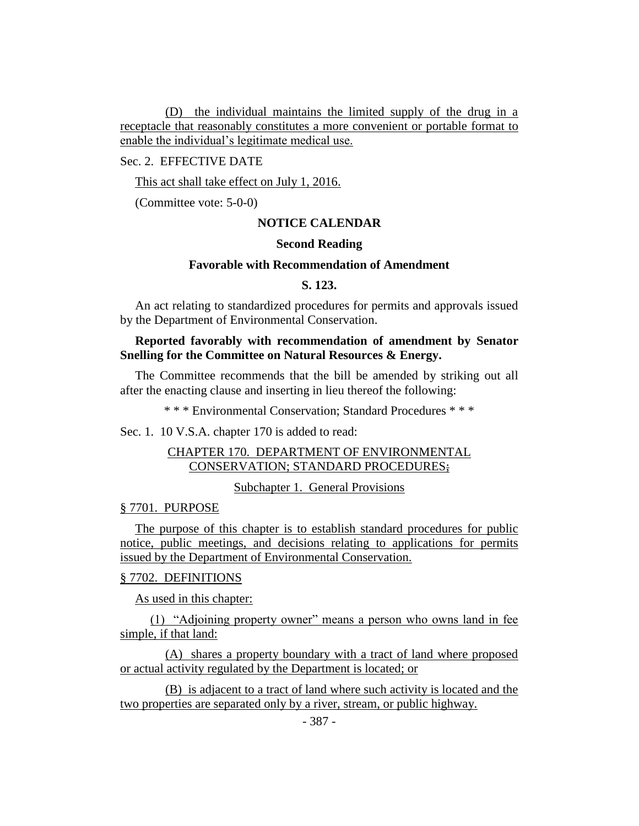(D) the individual maintains the limited supply of the drug in a receptacle that reasonably constitutes a more convenient or portable format to enable the individual's legitimate medical use.

Sec. 2. EFFECTIVE DATE

This act shall take effect on July 1, 2016.

(Committee vote: 5-0-0)

# **NOTICE CALENDAR**

# **Second Reading**

#### **Favorable with Recommendation of Amendment**

# **S. 123.**

An act relating to standardized procedures for permits and approvals issued by the Department of Environmental Conservation.

# **Reported favorably with recommendation of amendment by Senator Snelling for the Committee on Natural Resources & Energy.**

The Committee recommends that the bill be amended by striking out all after the enacting clause and inserting in lieu thereof the following:

\* \* \* Environmental Conservation; Standard Procedures \* \* \*

Sec. 1. 10 V.S.A. chapter 170 is added to read:

# CHAPTER 170. DEPARTMENT OF ENVIRONMENTAL CONSERVATION; STANDARD PROCEDURES;

Subchapter 1. General Provisions

# § 7701. PURPOSE

The purpose of this chapter is to establish standard procedures for public notice, public meetings, and decisions relating to applications for permits issued by the Department of Environmental Conservation.

#### § 7702. DEFINITIONS

As used in this chapter:

(1) "Adjoining property owner" means a person who owns land in fee simple, if that land:

(A) shares a property boundary with a tract of land where proposed or actual activity regulated by the Department is located; or

(B) is adjacent to a tract of land where such activity is located and the two properties are separated only by a river, stream, or public highway.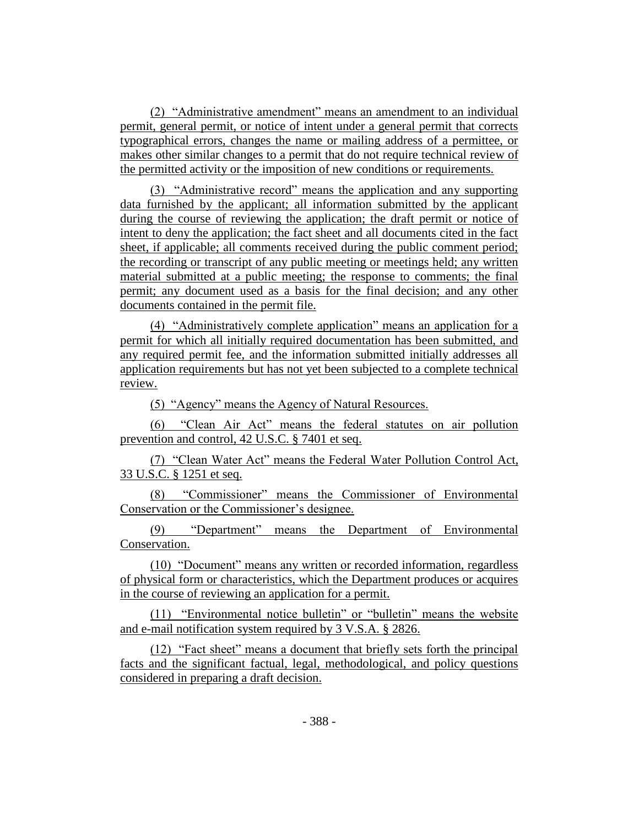(2) "Administrative amendment" means an amendment to an individual permit, general permit, or notice of intent under a general permit that corrects typographical errors, changes the name or mailing address of a permittee, or makes other similar changes to a permit that do not require technical review of the permitted activity or the imposition of new conditions or requirements.

(3) "Administrative record" means the application and any supporting data furnished by the applicant; all information submitted by the applicant during the course of reviewing the application; the draft permit or notice of intent to deny the application; the fact sheet and all documents cited in the fact sheet, if applicable; all comments received during the public comment period; the recording or transcript of any public meeting or meetings held; any written material submitted at a public meeting; the response to comments; the final permit; any document used as a basis for the final decision; and any other documents contained in the permit file.

(4) "Administratively complete application" means an application for a permit for which all initially required documentation has been submitted, and any required permit fee, and the information submitted initially addresses all application requirements but has not yet been subjected to a complete technical review.

(5) "Agency" means the Agency of Natural Resources.

(6) "Clean Air Act" means the federal statutes on air pollution prevention and control, 42 U.S.C. § 7401 et seq.

(7) "Clean Water Act" means the Federal Water Pollution Control Act, 33 U.S.C. § 1251 et seq.

(8) "Commissioner" means the Commissioner of Environmental Conservation or the Commissioner's designee.

(9) "Department" means the Department of Environmental Conservation.

(10) "Document" means any written or recorded information, regardless of physical form or characteristics, which the Department produces or acquires in the course of reviewing an application for a permit.

(11) "Environmental notice bulletin" or "bulletin" means the website and e-mail notification system required by 3 V.S.A. § 2826.

(12) "Fact sheet" means a document that briefly sets forth the principal facts and the significant factual, legal, methodological, and policy questions considered in preparing a draft decision.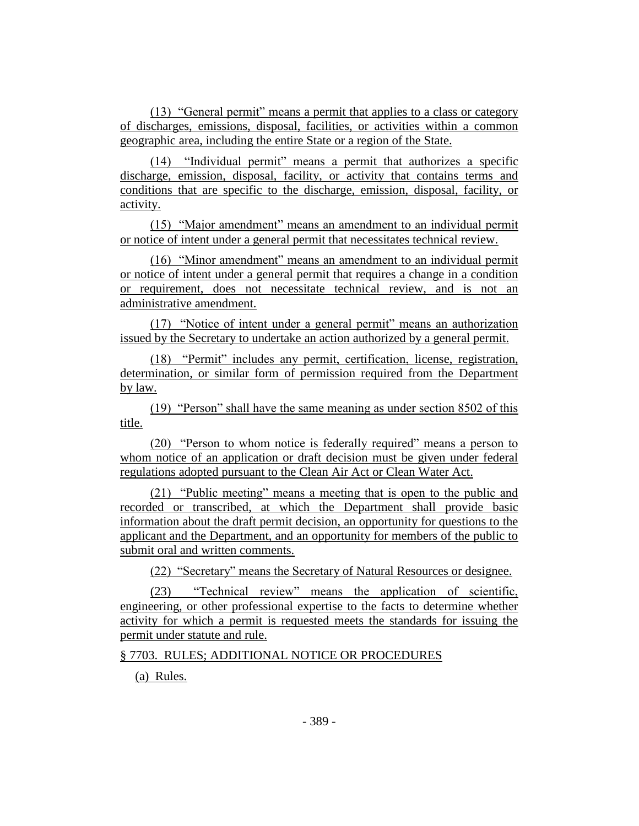(13) "General permit" means a permit that applies to a class or category of discharges, emissions, disposal, facilities, or activities within a common geographic area, including the entire State or a region of the State.

(14) "Individual permit" means a permit that authorizes a specific discharge, emission, disposal, facility, or activity that contains terms and conditions that are specific to the discharge, emission, disposal, facility, or activity.

(15) "Major amendment" means an amendment to an individual permit or notice of intent under a general permit that necessitates technical review.

(16) "Minor amendment" means an amendment to an individual permit or notice of intent under a general permit that requires a change in a condition or requirement, does not necessitate technical review, and is not an administrative amendment.

(17) "Notice of intent under a general permit" means an authorization issued by the Secretary to undertake an action authorized by a general permit.

(18) "Permit" includes any permit, certification, license, registration, determination, or similar form of permission required from the Department by law.

(19) "Person" shall have the same meaning as under section 8502 of this title.

(20) "Person to whom notice is federally required" means a person to whom notice of an application or draft decision must be given under federal regulations adopted pursuant to the Clean Air Act or Clean Water Act.

(21) "Public meeting" means a meeting that is open to the public and recorded or transcribed, at which the Department shall provide basic information about the draft permit decision, an opportunity for questions to the applicant and the Department, and an opportunity for members of the public to submit oral and written comments.

(22) "Secretary" means the Secretary of Natural Resources or designee.

(23) "Technical review" means the application of scientific, engineering, or other professional expertise to the facts to determine whether activity for which a permit is requested meets the standards for issuing the permit under statute and rule.

§ 7703. RULES; ADDITIONAL NOTICE OR PROCEDURES

(a) Rules.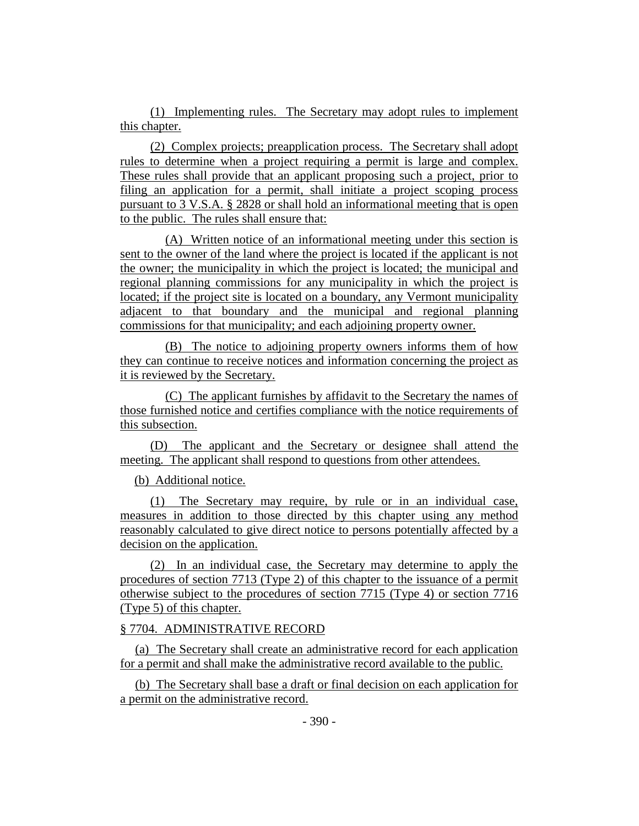(1) Implementing rules. The Secretary may adopt rules to implement this chapter.

(2) Complex projects; preapplication process. The Secretary shall adopt rules to determine when a project requiring a permit is large and complex. These rules shall provide that an applicant proposing such a project, prior to filing an application for a permit, shall initiate a project scoping process pursuant to 3 V.S.A. § 2828 or shall hold an informational meeting that is open to the public. The rules shall ensure that:

(A) Written notice of an informational meeting under this section is sent to the owner of the land where the project is located if the applicant is not the owner; the municipality in which the project is located; the municipal and regional planning commissions for any municipality in which the project is located; if the project site is located on a boundary, any Vermont municipality adjacent to that boundary and the municipal and regional planning commissions for that municipality; and each adjoining property owner.

(B) The notice to adjoining property owners informs them of how they can continue to receive notices and information concerning the project as it is reviewed by the Secretary.

(C) The applicant furnishes by affidavit to the Secretary the names of those furnished notice and certifies compliance with the notice requirements of this subsection.

(D) The applicant and the Secretary or designee shall attend the meeting. The applicant shall respond to questions from other attendees.

(b) Additional notice.

(1) The Secretary may require, by rule or in an individual case, measures in addition to those directed by this chapter using any method reasonably calculated to give direct notice to persons potentially affected by a decision on the application.

(2) In an individual case, the Secretary may determine to apply the procedures of section 7713 (Type 2) of this chapter to the issuance of a permit otherwise subject to the procedures of section 7715 (Type 4) or section 7716 (Type 5) of this chapter.

# § 7704. ADMINISTRATIVE RECORD

(a) The Secretary shall create an administrative record for each application for a permit and shall make the administrative record available to the public.

(b) The Secretary shall base a draft or final decision on each application for a permit on the administrative record.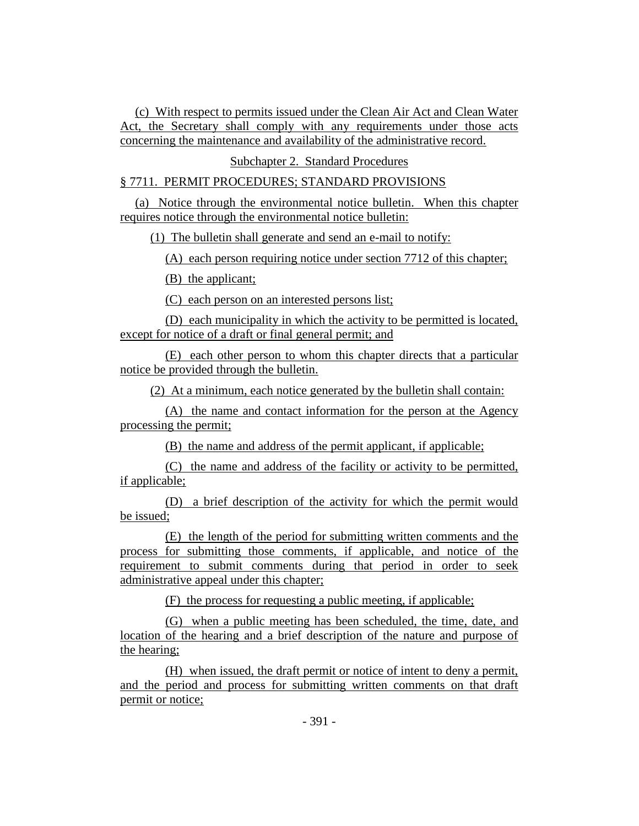(c) With respect to permits issued under the Clean Air Act and Clean Water Act, the Secretary shall comply with any requirements under those acts concerning the maintenance and availability of the administrative record.

Subchapter 2. Standard Procedures

# § 7711. PERMIT PROCEDURES; STANDARD PROVISIONS

(a) Notice through the environmental notice bulletin. When this chapter requires notice through the environmental notice bulletin:

(1) The bulletin shall generate and send an e-mail to notify:

(A) each person requiring notice under section 7712 of this chapter;

(B) the applicant;

(C) each person on an interested persons list;

(D) each municipality in which the activity to be permitted is located, except for notice of a draft or final general permit; and

(E) each other person to whom this chapter directs that a particular notice be provided through the bulletin.

(2) At a minimum, each notice generated by the bulletin shall contain:

(A) the name and contact information for the person at the Agency processing the permit;

(B) the name and address of the permit applicant, if applicable;

(C) the name and address of the facility or activity to be permitted, if applicable;

(D) a brief description of the activity for which the permit would be issued;

(E) the length of the period for submitting written comments and the process for submitting those comments, if applicable, and notice of the requirement to submit comments during that period in order to seek administrative appeal under this chapter;

(F) the process for requesting a public meeting, if applicable;

(G) when a public meeting has been scheduled, the time, date, and location of the hearing and a brief description of the nature and purpose of the hearing;

(H) when issued, the draft permit or notice of intent to deny a permit, and the period and process for submitting written comments on that draft permit or notice;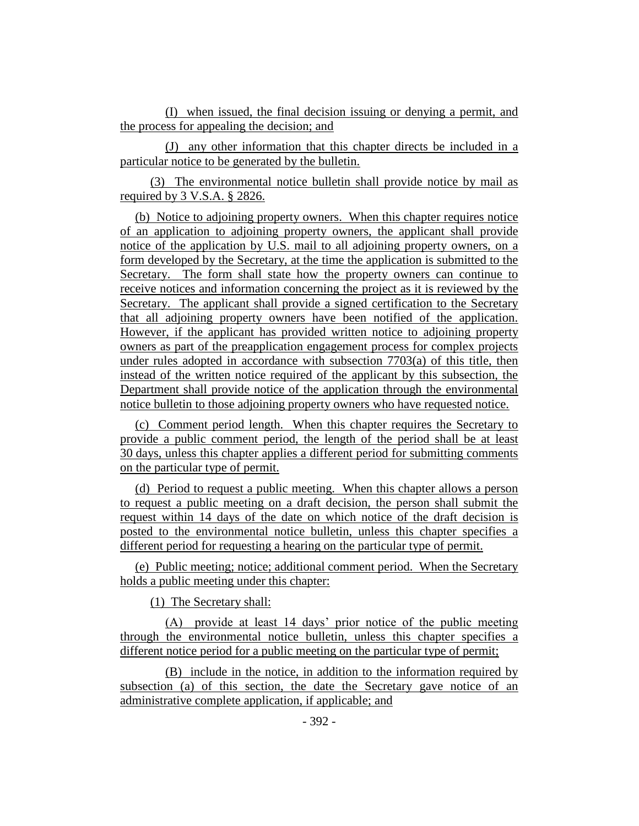(I) when issued, the final decision issuing or denying a permit, and the process for appealing the decision; and

(J) any other information that this chapter directs be included in a particular notice to be generated by the bulletin.

(3) The environmental notice bulletin shall provide notice by mail as required by 3 V.S.A. § 2826.

(b) Notice to adjoining property owners. When this chapter requires notice of an application to adjoining property owners, the applicant shall provide notice of the application by U.S. mail to all adjoining property owners, on a form developed by the Secretary, at the time the application is submitted to the Secretary. The form shall state how the property owners can continue to receive notices and information concerning the project as it is reviewed by the Secretary. The applicant shall provide a signed certification to the Secretary that all adjoining property owners have been notified of the application. However, if the applicant has provided written notice to adjoining property owners as part of the preapplication engagement process for complex projects under rules adopted in accordance with subsection  $7703(a)$  of this title, then instead of the written notice required of the applicant by this subsection, the Department shall provide notice of the application through the environmental notice bulletin to those adjoining property owners who have requested notice.

(c) Comment period length. When this chapter requires the Secretary to provide a public comment period, the length of the period shall be at least 30 days, unless this chapter applies a different period for submitting comments on the particular type of permit.

(d) Period to request a public meeting. When this chapter allows a person to request a public meeting on a draft decision, the person shall submit the request within 14 days of the date on which notice of the draft decision is posted to the environmental notice bulletin, unless this chapter specifies a different period for requesting a hearing on the particular type of permit.

(e) Public meeting; notice; additional comment period. When the Secretary holds a public meeting under this chapter:

(1) The Secretary shall:

(A) provide at least 14 days' prior notice of the public meeting through the environmental notice bulletin, unless this chapter specifies a different notice period for a public meeting on the particular type of permit;

(B) include in the notice, in addition to the information required by subsection (a) of this section, the date the Secretary gave notice of an administrative complete application, if applicable; and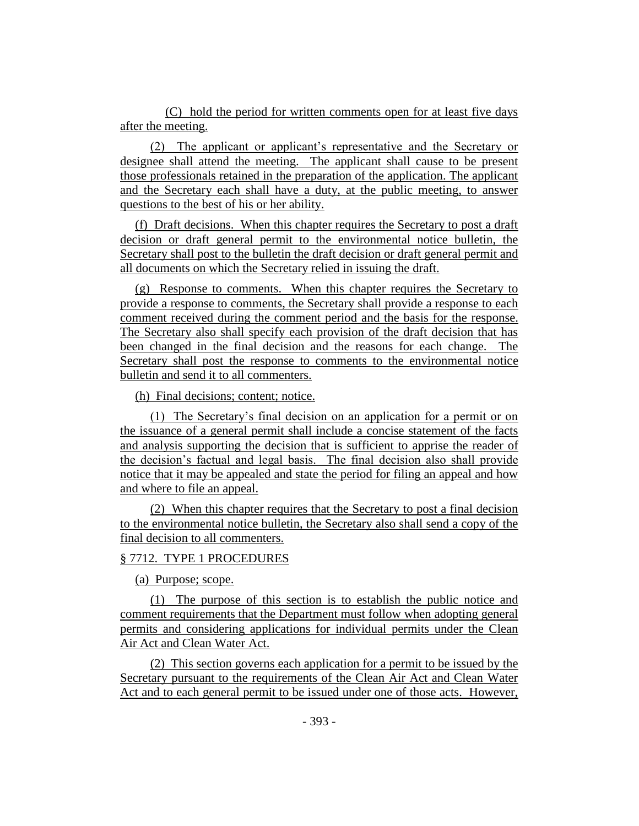(C) hold the period for written comments open for at least five days after the meeting.

(2) The applicant or applicant's representative and the Secretary or designee shall attend the meeting. The applicant shall cause to be present those professionals retained in the preparation of the application. The applicant and the Secretary each shall have a duty, at the public meeting, to answer questions to the best of his or her ability.

(f) Draft decisions. When this chapter requires the Secretary to post a draft decision or draft general permit to the environmental notice bulletin, the Secretary shall post to the bulletin the draft decision or draft general permit and all documents on which the Secretary relied in issuing the draft.

(g) Response to comments. When this chapter requires the Secretary to provide a response to comments, the Secretary shall provide a response to each comment received during the comment period and the basis for the response. The Secretary also shall specify each provision of the draft decision that has been changed in the final decision and the reasons for each change. The Secretary shall post the response to comments to the environmental notice bulletin and send it to all commenters.

(h) Final decisions; content; notice.

(1) The Secretary's final decision on an application for a permit or on the issuance of a general permit shall include a concise statement of the facts and analysis supporting the decision that is sufficient to apprise the reader of the decision's factual and legal basis. The final decision also shall provide notice that it may be appealed and state the period for filing an appeal and how and where to file an appeal.

(2) When this chapter requires that the Secretary to post a final decision to the environmental notice bulletin, the Secretary also shall send a copy of the final decision to all commenters.

#### § 7712. TYPE 1 PROCEDURES

(a) Purpose; scope.

(1) The purpose of this section is to establish the public notice and comment requirements that the Department must follow when adopting general permits and considering applications for individual permits under the Clean Air Act and Clean Water Act.

(2) This section governs each application for a permit to be issued by the Secretary pursuant to the requirements of the Clean Air Act and Clean Water Act and to each general permit to be issued under one of those acts. However,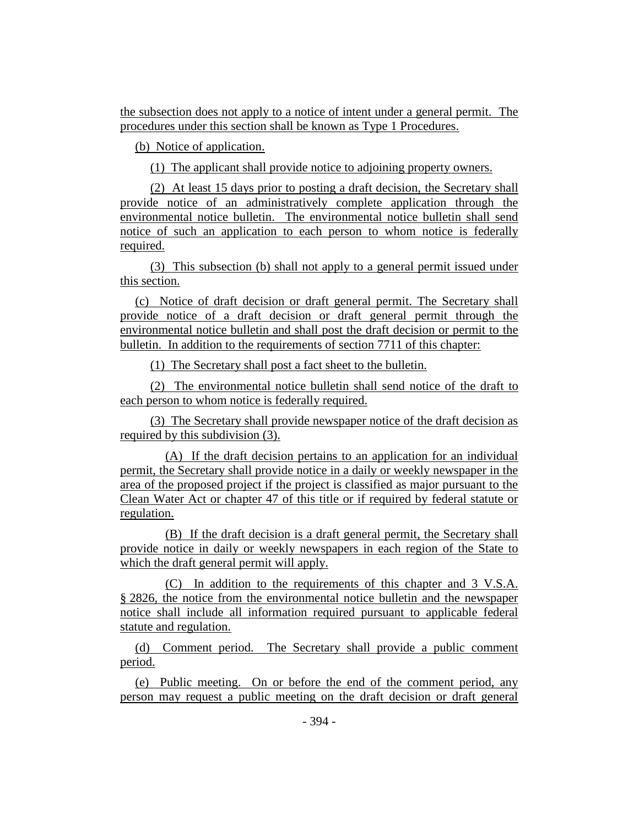the subsection does not apply to a notice of intent under a general permit. The procedures under this section shall be known as Type 1 Procedures.

(b) Notice of application.

(1) The applicant shall provide notice to adjoining property owners.

(2) At least 15 days prior to posting a draft decision, the Secretary shall provide notice of an administratively complete application through the environmental notice bulletin. The environmental notice bulletin shall send notice of such an application to each person to whom notice is federally required.

(3) This subsection (b) shall not apply to a general permit issued under this section.

(c) Notice of draft decision or draft general permit. The Secretary shall provide notice of a draft decision or draft general permit through the environmental notice bulletin and shall post the draft decision or permit to the bulletin. In addition to the requirements of section 7711 of this chapter:

(1) The Secretary shall post a fact sheet to the bulletin.

(2) The environmental notice bulletin shall send notice of the draft to each person to whom notice is federally required.

(3) The Secretary shall provide newspaper notice of the draft decision as required by this subdivision (3).

(A) If the draft decision pertains to an application for an individual permit, the Secretary shall provide notice in a daily or weekly newspaper in the area of the proposed project if the project is classified as major pursuant to the Clean Water Act or chapter 47 of this title or if required by federal statute or regulation.

(B) If the draft decision is a draft general permit, the Secretary shall provide notice in daily or weekly newspapers in each region of the State to which the draft general permit will apply.

(C) In addition to the requirements of this chapter and 3 V.S.A. § 2826, the notice from the environmental notice bulletin and the newspaper notice shall include all information required pursuant to applicable federal statute and regulation.

(d) Comment period. The Secretary shall provide a public comment period.

(e) Public meeting. On or before the end of the comment period, any person may request a public meeting on the draft decision or draft general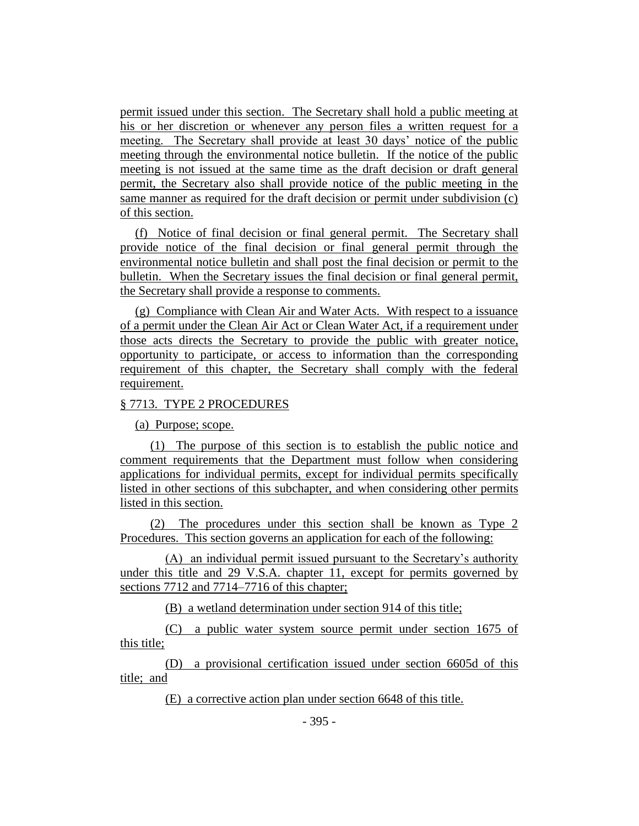permit issued under this section. The Secretary shall hold a public meeting at his or her discretion or whenever any person files a written request for a meeting. The Secretary shall provide at least 30 days' notice of the public meeting through the environmental notice bulletin. If the notice of the public meeting is not issued at the same time as the draft decision or draft general permit, the Secretary also shall provide notice of the public meeting in the same manner as required for the draft decision or permit under subdivision (c) of this section.

(f) Notice of final decision or final general permit. The Secretary shall provide notice of the final decision or final general permit through the environmental notice bulletin and shall post the final decision or permit to the bulletin. When the Secretary issues the final decision or final general permit, the Secretary shall provide a response to comments.

(g) Compliance with Clean Air and Water Acts. With respect to a issuance of a permit under the Clean Air Act or Clean Water Act, if a requirement under those acts directs the Secretary to provide the public with greater notice, opportunity to participate, or access to information than the corresponding requirement of this chapter, the Secretary shall comply with the federal requirement.

# § 7713. TYPE 2 PROCEDURES

(a) Purpose; scope.

(1) The purpose of this section is to establish the public notice and comment requirements that the Department must follow when considering applications for individual permits, except for individual permits specifically listed in other sections of this subchapter, and when considering other permits listed in this section.

(2) The procedures under this section shall be known as Type 2 Procedures. This section governs an application for each of the following:

(A) an individual permit issued pursuant to the Secretary's authority under this title and 29 V.S.A. chapter 11, except for permits governed by sections 7712 and 7714–7716 of this chapter;

(B) a wetland determination under section 914 of this title;

(C) a public water system source permit under section 1675 of this title;

(D) a provisional certification issued under section 6605d of this title; and

(E) a corrective action plan under section 6648 of this title.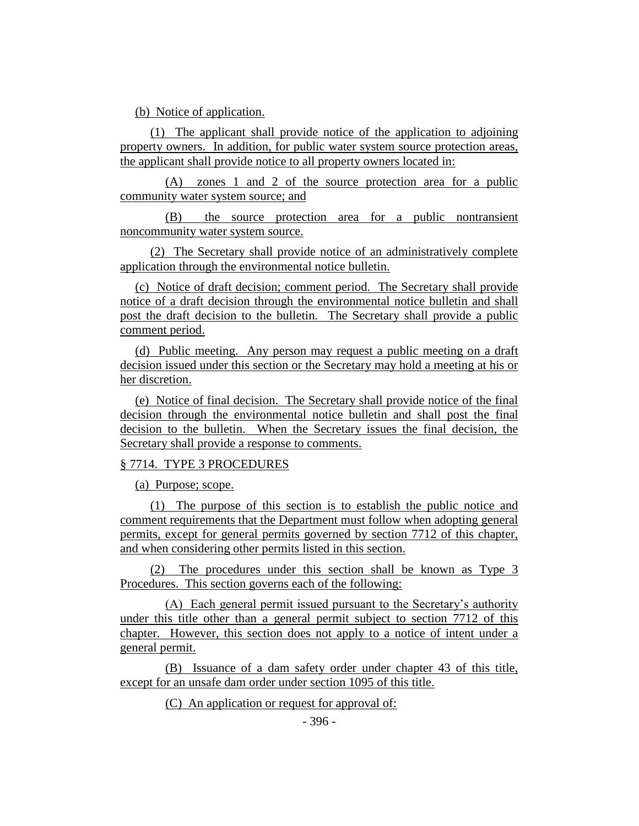(b) Notice of application.

(1) The applicant shall provide notice of the application to adjoining property owners. In addition, for public water system source protection areas, the applicant shall provide notice to all property owners located in:

(A) zones 1 and 2 of the source protection area for a public community water system source; and

(B) the source protection area for a public nontransient noncommunity water system source.

(2) The Secretary shall provide notice of an administratively complete application through the environmental notice bulletin.

(c) Notice of draft decision; comment period. The Secretary shall provide notice of a draft decision through the environmental notice bulletin and shall post the draft decision to the bulletin. The Secretary shall provide a public comment period.

(d) Public meeting. Any person may request a public meeting on a draft decision issued under this section or the Secretary may hold a meeting at his or her discretion.

(e) Notice of final decision. The Secretary shall provide notice of the final decision through the environmental notice bulletin and shall post the final decision to the bulletin. When the Secretary issues the final decision, the Secretary shall provide a response to comments.

# § 7714. TYPE 3 PROCEDURES

(a) Purpose; scope.

(1) The purpose of this section is to establish the public notice and comment requirements that the Department must follow when adopting general permits, except for general permits governed by section 7712 of this chapter, and when considering other permits listed in this section.

(2) The procedures under this section shall be known as Type 3 Procedures. This section governs each of the following:

(A) Each general permit issued pursuant to the Secretary's authority under this title other than a general permit subject to section 7712 of this chapter. However, this section does not apply to a notice of intent under a general permit.

(B) Issuance of a dam safety order under chapter 43 of this title, except for an unsafe dam order under section 1095 of this title.

(C) An application or request for approval of: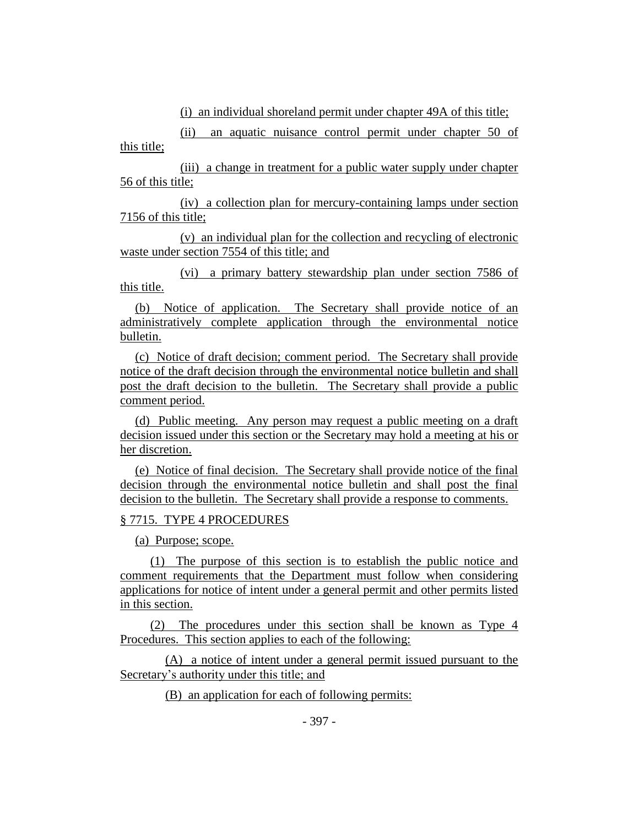(i) an individual shoreland permit under chapter 49A of this title;

(ii) an aquatic nuisance control permit under chapter 50 of this title;

(iii) a change in treatment for a public water supply under chapter 56 of this title;

(iv) a collection plan for mercury-containing lamps under section 7156 of this title;

(v) an individual plan for the collection and recycling of electronic waste under section 7554 of this title; and

(vi) a primary battery stewardship plan under section 7586 of this title.

(b) Notice of application. The Secretary shall provide notice of an administratively complete application through the environmental notice bulletin.

(c) Notice of draft decision; comment period. The Secretary shall provide notice of the draft decision through the environmental notice bulletin and shall post the draft decision to the bulletin. The Secretary shall provide a public comment period.

(d) Public meeting. Any person may request a public meeting on a draft decision issued under this section or the Secretary may hold a meeting at his or her discretion.

(e) Notice of final decision. The Secretary shall provide notice of the final decision through the environmental notice bulletin and shall post the final decision to the bulletin. The Secretary shall provide a response to comments.

# § 7715. TYPE 4 PROCEDURES

(a) Purpose; scope.

(1) The purpose of this section is to establish the public notice and comment requirements that the Department must follow when considering applications for notice of intent under a general permit and other permits listed in this section.

(2) The procedures under this section shall be known as Type 4 Procedures. This section applies to each of the following:

(A) a notice of intent under a general permit issued pursuant to the Secretary's authority under this title; and

(B) an application for each of following permits: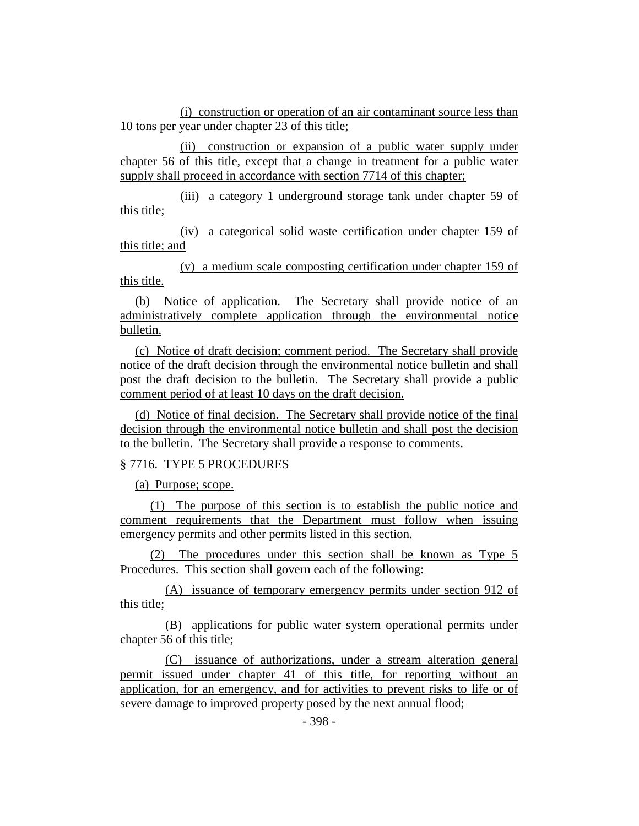(i) construction or operation of an air contaminant source less than 10 tons per year under chapter 23 of this title;

(ii) construction or expansion of a public water supply under chapter 56 of this title, except that a change in treatment for a public water supply shall proceed in accordance with section 7714 of this chapter;

(iii) a category 1 underground storage tank under chapter 59 of this title;

(iv) a categorical solid waste certification under chapter 159 of this title; and

(v) a medium scale composting certification under chapter 159 of this title.

(b) Notice of application. The Secretary shall provide notice of an administratively complete application through the environmental notice bulletin.

(c) Notice of draft decision; comment period. The Secretary shall provide notice of the draft decision through the environmental notice bulletin and shall post the draft decision to the bulletin. The Secretary shall provide a public comment period of at least 10 days on the draft decision.

(d) Notice of final decision. The Secretary shall provide notice of the final decision through the environmental notice bulletin and shall post the decision to the bulletin. The Secretary shall provide a response to comments.

# § 7716. TYPE 5 PROCEDURES

(a) Purpose; scope.

(1) The purpose of this section is to establish the public notice and comment requirements that the Department must follow when issuing emergency permits and other permits listed in this section.

(2) The procedures under this section shall be known as Type 5 Procedures. This section shall govern each of the following:

(A) issuance of temporary emergency permits under section 912 of this title;

(B) applications for public water system operational permits under chapter 56 of this title;

(C) issuance of authorizations, under a stream alteration general permit issued under chapter 41 of this title, for reporting without an application, for an emergency, and for activities to prevent risks to life or of severe damage to improved property posed by the next annual flood;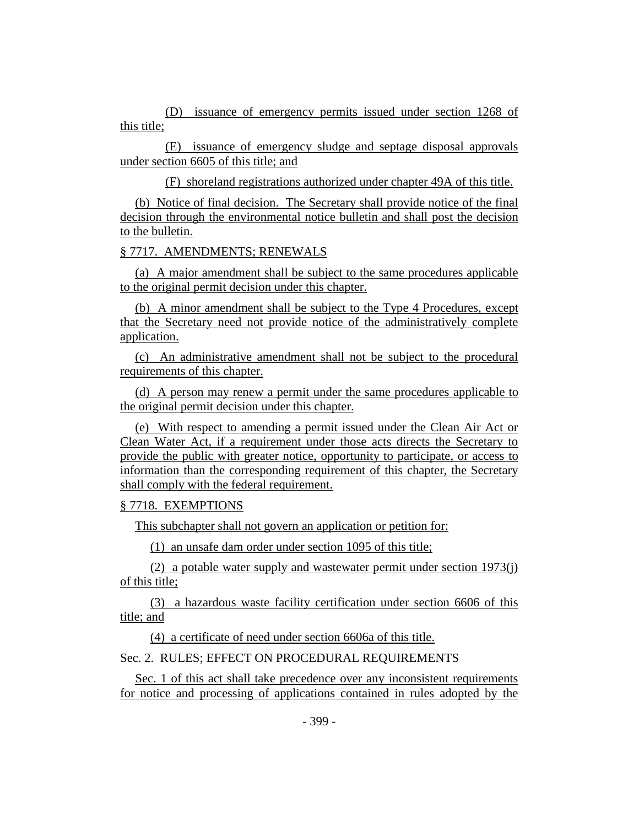(D) issuance of emergency permits issued under section 1268 of this title;

(E) issuance of emergency sludge and septage disposal approvals under section 6605 of this title; and

(F) shoreland registrations authorized under chapter 49A of this title.

(b) Notice of final decision. The Secretary shall provide notice of the final decision through the environmental notice bulletin and shall post the decision to the bulletin.

§ 7717. AMENDMENTS; RENEWALS

(a) A major amendment shall be subject to the same procedures applicable to the original permit decision under this chapter.

(b) A minor amendment shall be subject to the Type 4 Procedures, except that the Secretary need not provide notice of the administratively complete application.

(c) An administrative amendment shall not be subject to the procedural requirements of this chapter.

(d) A person may renew a permit under the same procedures applicable to the original permit decision under this chapter.

(e) With respect to amending a permit issued under the Clean Air Act or Clean Water Act, if a requirement under those acts directs the Secretary to provide the public with greater notice, opportunity to participate, or access to information than the corresponding requirement of this chapter, the Secretary shall comply with the federal requirement.

# § 7718. EXEMPTIONS

This subchapter shall not govern an application or petition for:

(1) an unsafe dam order under section 1095 of this title;

(2) a potable water supply and wastewater permit under section 1973(j) of this title;

(3) a hazardous waste facility certification under section 6606 of this title; and

(4) a certificate of need under section 6606a of this title.

Sec. 2. RULES; EFFECT ON PROCEDURAL REQUIREMENTS

Sec. 1 of this act shall take precedence over any inconsistent requirements for notice and processing of applications contained in rules adopted by the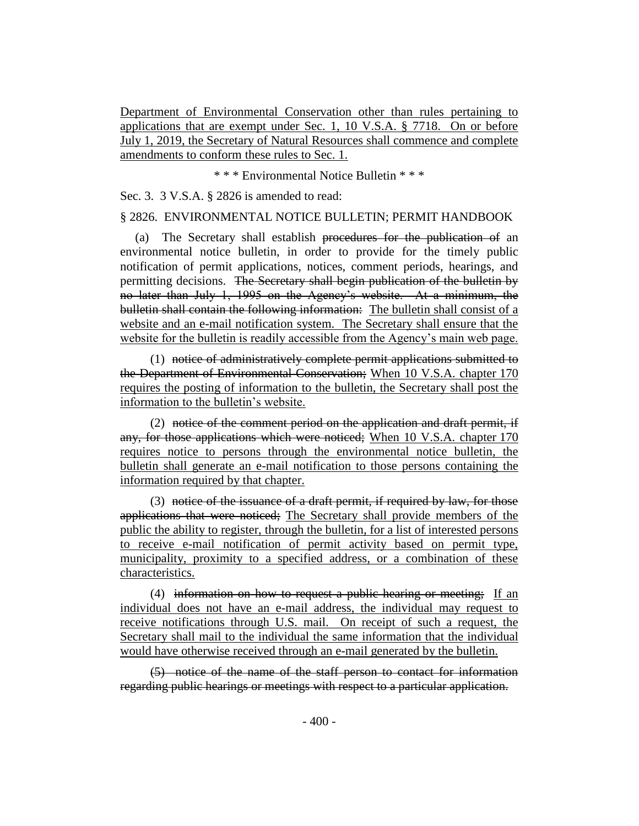Department of Environmental Conservation other than rules pertaining to applications that are exempt under Sec. 1, 10 V.S.A. § 7718. On or before July 1, 2019, the Secretary of Natural Resources shall commence and complete amendments to conform these rules to Sec. 1.

\* \* \* Environmental Notice Bulletin \* \* \*

Sec. 3. 3 V.S.A. § 2826 is amended to read:

#### § 2826. ENVIRONMENTAL NOTICE BULLETIN; PERMIT HANDBOOK

(a) The Secretary shall establish procedures for the publication of an environmental notice bulletin, in order to provide for the timely public notification of permit applications, notices, comment periods, hearings, and permitting decisions. The Secretary shall begin publication of the bulletin by no later than July 1, 1995 on the Agency's website. At a minimum, the bulletin shall contain the following information: The bulletin shall consist of a website and an e-mail notification system. The Secretary shall ensure that the website for the bulletin is readily accessible from the Agency's main web page.

(1) notice of administratively complete permit applications submitted to the Department of Environmental Conservation; When 10 V.S.A. chapter 170 requires the posting of information to the bulletin, the Secretary shall post the information to the bulletin's website.

 $(2)$  notice of the comment period on the application and draft permit, if any, for those applications which were noticed; When 10 V.S.A. chapter 170 requires notice to persons through the environmental notice bulletin, the bulletin shall generate an e-mail notification to those persons containing the information required by that chapter.

(3) notice of the issuance of a draft permit, if required by law, for those applications that were noticed; The Secretary shall provide members of the public the ability to register, through the bulletin, for a list of interested persons to receive e-mail notification of permit activity based on permit type, municipality, proximity to a specified address, or a combination of these characteristics.

(4) information on how to request a public hearing or meeting; If an individual does not have an e-mail address, the individual may request to receive notifications through U.S. mail. On receipt of such a request, the Secretary shall mail to the individual the same information that the individual would have otherwise received through an e-mail generated by the bulletin.

(5) notice of the name of the staff person to contact for information regarding public hearings or meetings with respect to a particular application.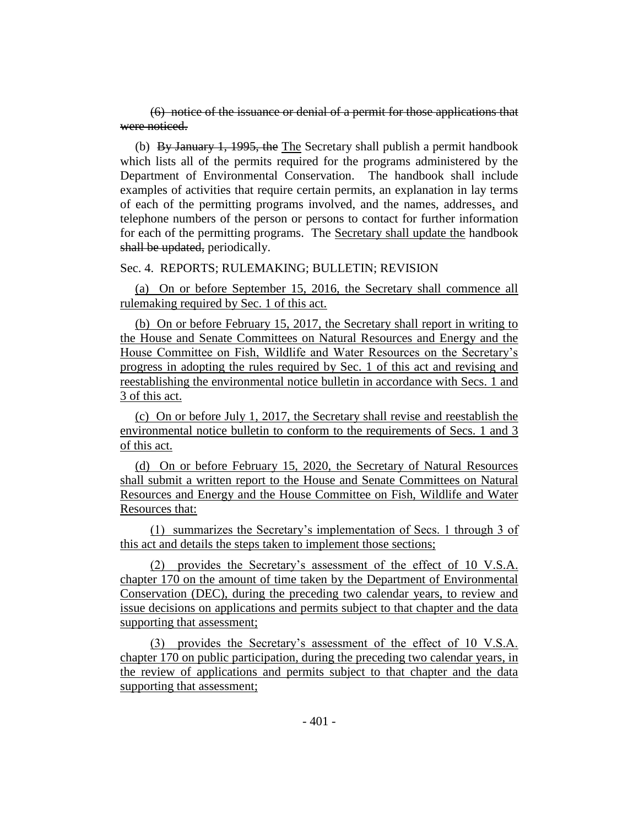(6) notice of the issuance or denial of a permit for those applications that were noticed.

(b) By January 1, 1995, the The Secretary shall publish a permit handbook which lists all of the permits required for the programs administered by the Department of Environmental Conservation. The handbook shall include examples of activities that require certain permits, an explanation in lay terms of each of the permitting programs involved, and the names, addresses, and telephone numbers of the person or persons to contact for further information for each of the permitting programs. The Secretary shall update the handbook shall be updated, periodically.

#### Sec. 4. REPORTS; RULEMAKING; BULLETIN; REVISION

(a) On or before September 15, 2016, the Secretary shall commence all rulemaking required by Sec. 1 of this act.

(b) On or before February 15, 2017, the Secretary shall report in writing to the House and Senate Committees on Natural Resources and Energy and the House Committee on Fish, Wildlife and Water Resources on the Secretary's progress in adopting the rules required by Sec. 1 of this act and revising and reestablishing the environmental notice bulletin in accordance with Secs. 1 and 3 of this act.

(c) On or before July 1, 2017, the Secretary shall revise and reestablish the environmental notice bulletin to conform to the requirements of Secs. 1 and 3 of this act.

(d) On or before February 15, 2020, the Secretary of Natural Resources shall submit a written report to the House and Senate Committees on Natural Resources and Energy and the House Committee on Fish, Wildlife and Water Resources that:

(1) summarizes the Secretary's implementation of Secs. 1 through 3 of this act and details the steps taken to implement those sections;

(2) provides the Secretary's assessment of the effect of 10 V.S.A. chapter 170 on the amount of time taken by the Department of Environmental Conservation (DEC), during the preceding two calendar years, to review and issue decisions on applications and permits subject to that chapter and the data supporting that assessment;

(3) provides the Secretary's assessment of the effect of 10 V.S.A. chapter 170 on public participation, during the preceding two calendar years, in the review of applications and permits subject to that chapter and the data supporting that assessment;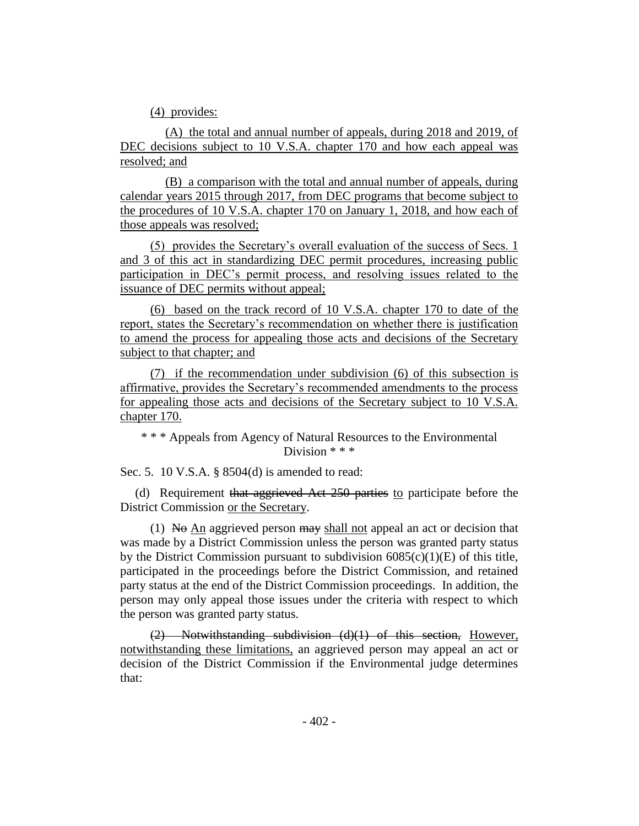(4) provides:

(A) the total and annual number of appeals, during 2018 and 2019, of DEC decisions subject to 10 V.S.A. chapter 170 and how each appeal was resolved; and

(B) a comparison with the total and annual number of appeals, during calendar years 2015 through 2017, from DEC programs that become subject to the procedures of 10 V.S.A. chapter 170 on January 1, 2018, and how each of those appeals was resolved;

(5) provides the Secretary's overall evaluation of the success of Secs. 1 and 3 of this act in standardizing DEC permit procedures, increasing public participation in DEC's permit process, and resolving issues related to the issuance of DEC permits without appeal;

(6) based on the track record of 10 V.S.A. chapter 170 to date of the report, states the Secretary's recommendation on whether there is justification to amend the process for appealing those acts and decisions of the Secretary subject to that chapter; and

(7) if the recommendation under subdivision (6) of this subsection is affirmative, provides the Secretary's recommended amendments to the process for appealing those acts and decisions of the Secretary subject to 10 V.S.A. chapter 170.

\* \* \* Appeals from Agency of Natural Resources to the Environmental Division  $**$ 

Sec. 5. 10 V.S.A. § 8504(d) is amended to read:

(d) Requirement that aggrieved Act 250 parties to participate before the District Commission or the Secretary.

(1) No An aggrieved person  $\frac{m}{w}$  shall not appeal an act or decision that was made by a District Commission unless the person was granted party status by the District Commission pursuant to subdivision  $6085(c)(1)(E)$  of this title, participated in the proceedings before the District Commission, and retained party status at the end of the District Commission proceedings. In addition, the person may only appeal those issues under the criteria with respect to which the person was granted party status.

(2) Notwithstanding subdivision (d)(1) of this section, However, notwithstanding these limitations, an aggrieved person may appeal an act or decision of the District Commission if the Environmental judge determines that: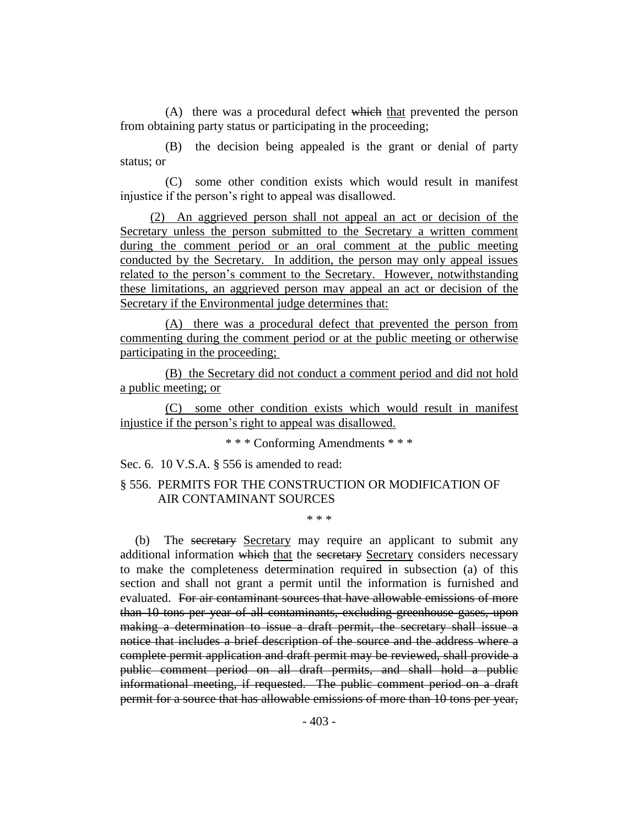(A) there was a procedural defect which that prevented the person from obtaining party status or participating in the proceeding;

(B) the decision being appealed is the grant or denial of party status; or

(C) some other condition exists which would result in manifest injustice if the person's right to appeal was disallowed.

(2) An aggrieved person shall not appeal an act or decision of the Secretary unless the person submitted to the Secretary a written comment during the comment period or an oral comment at the public meeting conducted by the Secretary. In addition, the person may only appeal issues related to the person's comment to the Secretary. However, notwithstanding these limitations, an aggrieved person may appeal an act or decision of the Secretary if the Environmental judge determines that:

(A) there was a procedural defect that prevented the person from commenting during the comment period or at the public meeting or otherwise participating in the proceeding;

(B) the Secretary did not conduct a comment period and did not hold a public meeting; or

(C) some other condition exists which would result in manifest injustice if the person's right to appeal was disallowed.

\* \* \* Conforming Amendments \* \* \*

Sec. 6. 10 V.S.A. § 556 is amended to read:

# § 556. PERMITS FOR THE CONSTRUCTION OR MODIFICATION OF AIR CONTAMINANT SOURCES

\* \* \*

(b) The secretary Secretary may require an applicant to submit any additional information which that the secretary Secretary considers necessary to make the completeness determination required in subsection (a) of this section and shall not grant a permit until the information is furnished and evaluated. For air contaminant sources that have allowable emissions of more than 10 tons per year of all contaminants, excluding greenhouse gases, upon making a determination to issue a draft permit, the secretary shall issue a notice that includes a brief description of the source and the address where a complete permit application and draft permit may be reviewed, shall provide a public comment period on all draft permits, and shall hold a public informational meeting, if requested. The public comment period on a draft permit for a source that has allowable emissions of more than 10 tons per year,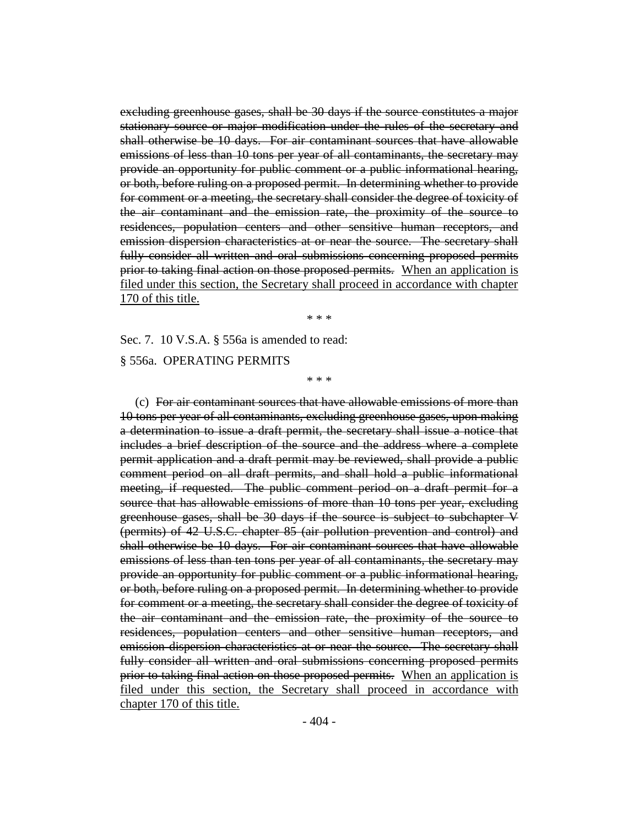excluding greenhouse gases, shall be 30 days if the source constitutes a major stationary source or major modification under the rules of the secretary and shall otherwise be 10 days. For air contaminant sources that have allowable emissions of less than 10 tons per year of all contaminants, the secretary may provide an opportunity for public comment or a public informational hearing, or both, before ruling on a proposed permit. In determining whether to provide for comment or a meeting, the secretary shall consider the degree of toxicity of the air contaminant and the emission rate, the proximity of the source to residences, population centers and other sensitive human receptors, and emission dispersion characteristics at or near the source. The secretary shall fully consider all written and oral submissions concerning proposed permits prior to taking final action on those proposed permits. When an application is filed under this section, the Secretary shall proceed in accordance with chapter 170 of this title.

\* \* \*

Sec. 7. 10 V.S.A. § 556a is amended to read:

§ 556a. OPERATING PERMITS

\* \* \*

(c) For air contaminant sources that have allowable emissions of more than 10 tons per year of all contaminants, excluding greenhouse gases, upon making a determination to issue a draft permit, the secretary shall issue a notice that includes a brief description of the source and the address where a complete permit application and a draft permit may be reviewed, shall provide a public comment period on all draft permits, and shall hold a public informational meeting, if requested. The public comment period on a draft permit for a source that has allowable emissions of more than 10 tons per year, excluding greenhouse gases, shall be 30 days if the source is subject to subchapter V (permits) of 42 U.S.C. chapter 85 (air pollution prevention and control) and shall otherwise be 10 days. For air contaminant sources that have allowable emissions of less than ten tons per year of all contaminants, the secretary may provide an opportunity for public comment or a public informational hearing, or both, before ruling on a proposed permit. In determining whether to provide for comment or a meeting, the secretary shall consider the degree of toxicity of the air contaminant and the emission rate, the proximity of the source to residences, population centers and other sensitive human receptors, and emission dispersion characteristics at or near the source. The secretary shall fully consider all written and oral submissions concerning proposed permits prior to taking final action on those proposed permits. When an application is filed under this section, the Secretary shall proceed in accordance with chapter 170 of this title.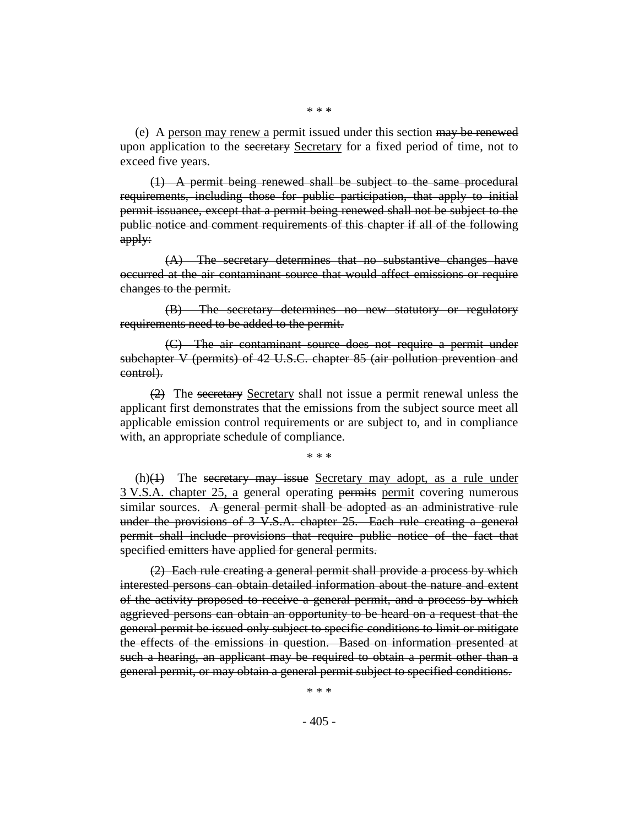(e) A person may renew a permit issued under this section may be renewed upon application to the secretary Secretary for a fixed period of time, not to exceed five years.

(1) A permit being renewed shall be subject to the same procedural requirements, including those for public participation, that apply to initial permit issuance, except that a permit being renewed shall not be subject to the public notice and comment requirements of this chapter if all of the following apply:

(A) The secretary determines that no substantive changes have occurred at the air contaminant source that would affect emissions or require changes to the permit.

(B) The secretary determines no new statutory or regulatory requirements need to be added to the permit.

(C) The air contaminant source does not require a permit under subchapter V (permits) of 42 U.S.C. chapter 85 (air pollution prevention and control).

(2) The secretary Secretary shall not issue a permit renewal unless the applicant first demonstrates that the emissions from the subject source meet all applicable emission control requirements or are subject to, and in compliance with, an appropriate schedule of compliance.

\* \* \*

 $(h)(1)$  The secretary may issue Secretary may adopt, as a rule under 3 V.S.A. chapter 25, a general operating permits permit covering numerous similar sources. A general permit shall be adopted as an administrative rule under the provisions of 3 V.S.A. chapter 25. Each rule creating a general permit shall include provisions that require public notice of the fact that specified emitters have applied for general permits.

(2) Each rule creating a general permit shall provide a process by which interested persons can obtain detailed information about the nature and extent of the activity proposed to receive a general permit, and a process by which aggrieved persons can obtain an opportunity to be heard on a request that the general permit be issued only subject to specific conditions to limit or mitigate the effects of the emissions in question. Based on information presented at such a hearing, an applicant may be required to obtain a permit other than a general permit, or may obtain a general permit subject to specified conditions.

\* \* \*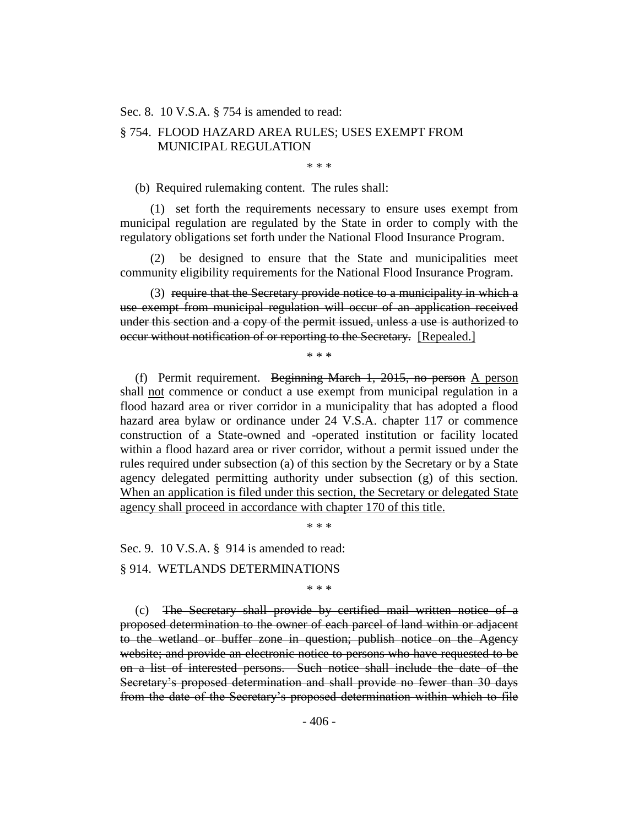#### Sec. 8. 10 V.S.A. § 754 is amended to read:

# § 754. FLOOD HAZARD AREA RULES; USES EXEMPT FROM MUNICIPAL REGULATION

\* \* \*

(b) Required rulemaking content. The rules shall:

(1) set forth the requirements necessary to ensure uses exempt from municipal regulation are regulated by the State in order to comply with the regulatory obligations set forth under the National Flood Insurance Program.

(2) be designed to ensure that the State and municipalities meet community eligibility requirements for the National Flood Insurance Program.

(3) require that the Secretary provide notice to a municipality in which a use exempt from municipal regulation will occur of an application received under this section and a copy of the permit issued, unless a use is authorized to occur without notification of or reporting to the Secretary. [Repealed.]

\* \* \*

(f) Permit requirement. Beginning March 1, 2015, no person  $\triangle$  person shall not commence or conduct a use exempt from municipal regulation in a flood hazard area or river corridor in a municipality that has adopted a flood hazard area bylaw or ordinance under 24 V.S.A. chapter 117 or commence construction of a State-owned and -operated institution or facility located within a flood hazard area or river corridor, without a permit issued under the rules required under subsection (a) of this section by the Secretary or by a State agency delegated permitting authority under subsection (g) of this section. When an application is filed under this section, the Secretary or delegated State agency shall proceed in accordance with chapter 170 of this title.

\* \* \*

Sec. 9. 10 V.S.A. § 914 is amended to read:

§ 914. WETLANDS DETERMINATIONS

\* \* \*

(c) The Secretary shall provide by certified mail written notice of a proposed determination to the owner of each parcel of land within or adjacent to the wetland or buffer zone in question; publish notice on the Agency website; and provide an electronic notice to persons who have requested to be on a list of interested persons. Such notice shall include the date of the Secretary's proposed determination and shall provide no fewer than 30 days from the date of the Secretary's proposed determination within which to file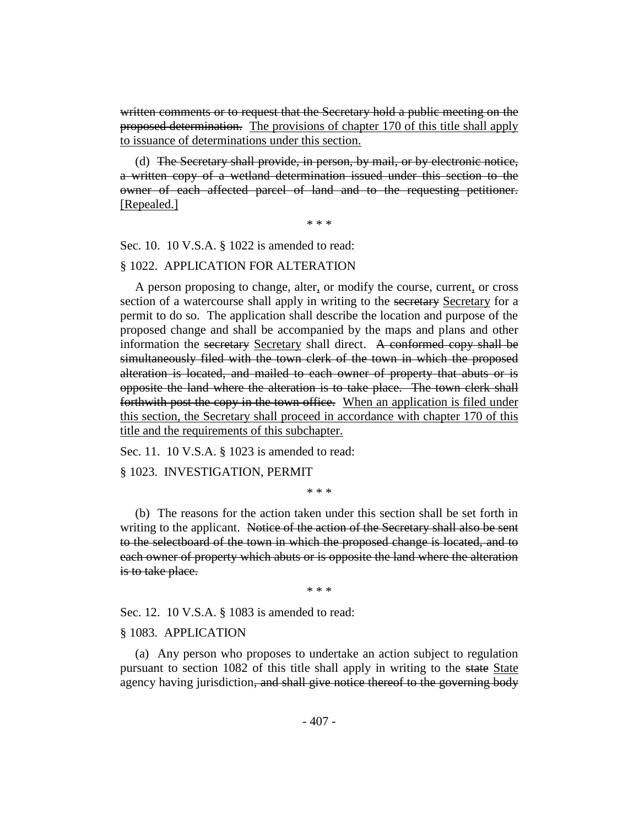written comments or to request that the Secretary hold a public meeting on the proposed determination. The provisions of chapter 170 of this title shall apply to issuance of determinations under this section.

(d) The Secretary shall provide, in person, by mail, or by electronic notice, a written copy of a wetland determination issued under this section to the owner of each affected parcel of land and to the requesting petitioner. [Repealed.]

\* \* \*

Sec. 10. 10 V.S.A. § 1022 is amended to read:

#### § 1022. APPLICATION FOR ALTERATION

A person proposing to change, alter, or modify the course, current, or cross section of a watercourse shall apply in writing to the secretary Secretary for a permit to do so. The application shall describe the location and purpose of the proposed change and shall be accompanied by the maps and plans and other information the secretary Secretary shall direct. A conformed copy shall be simultaneously filed with the town clerk of the town in which the proposed alteration is located, and mailed to each owner of property that abuts or is opposite the land where the alteration is to take place. The town clerk shall forthwith post the copy in the town office. When an application is filed under this section, the Secretary shall proceed in accordance with chapter 170 of this title and the requirements of this subchapter.

Sec. 11. 10 V.S.A. § 1023 is amended to read:

§ 1023. INVESTIGATION, PERMIT

\* \* \*

(b) The reasons for the action taken under this section shall be set forth in writing to the applicant. Notice of the action of the Secretary shall also be sent to the selectboard of the town in which the proposed change is located, and to each owner of property which abuts or is opposite the land where the alteration is to take place.

\* \* \*

Sec. 12. 10 V.S.A. § 1083 is amended to read:

#### § 1083. APPLICATION

(a) Any person who proposes to undertake an action subject to regulation pursuant to section 1082 of this title shall apply in writing to the state State agency having jurisdiction, and shall give notice thereof to the governing body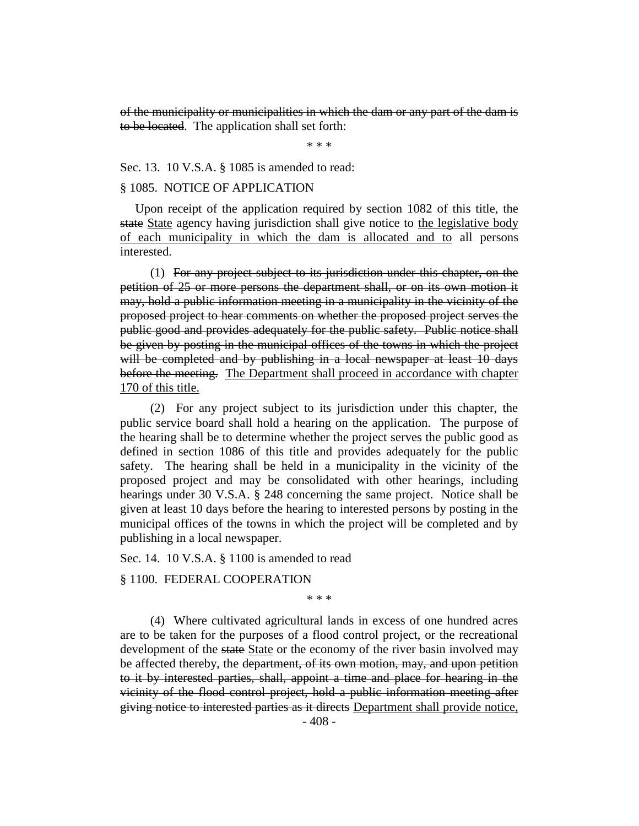of the municipality or municipalities in which the dam or any part of the dam is to be located. The application shall set forth:

\* \* \*

Sec. 13. 10 V.S.A. § 1085 is amended to read:

# § 1085. NOTICE OF APPLICATION

Upon receipt of the application required by section 1082 of this title, the state State agency having jurisdiction shall give notice to the legislative body of each municipality in which the dam is allocated and to all persons interested.

(1) For any project subject to its jurisdiction under this chapter, on the petition of 25 or more persons the department shall, or on its own motion it may, hold a public information meeting in a municipality in the vicinity of the proposed project to hear comments on whether the proposed project serves the public good and provides adequately for the public safety. Public notice shall be given by posting in the municipal offices of the towns in which the project will be completed and by publishing in a local newspaper at least 10 days before the meeting. The Department shall proceed in accordance with chapter 170 of this title.

(2) For any project subject to its jurisdiction under this chapter, the public service board shall hold a hearing on the application. The purpose of the hearing shall be to determine whether the project serves the public good as defined in section 1086 of this title and provides adequately for the public safety. The hearing shall be held in a municipality in the vicinity of the proposed project and may be consolidated with other hearings, including hearings under 30 V.S.A. § 248 concerning the same project. Notice shall be given at least 10 days before the hearing to interested persons by posting in the municipal offices of the towns in which the project will be completed and by publishing in a local newspaper.

Sec. 14. 10 V.S.A. § 1100 is amended to read

# § 1100. FEDERAL COOPERATION

\* \* \*

(4) Where cultivated agricultural lands in excess of one hundred acres are to be taken for the purposes of a flood control project, or the recreational development of the state State or the economy of the river basin involved may be affected thereby, the department, of its own motion, may, and upon petition to it by interested parties, shall, appoint a time and place for hearing in the vicinity of the flood control project, hold a public information meeting after giving notice to interested parties as it directs Department shall provide notice,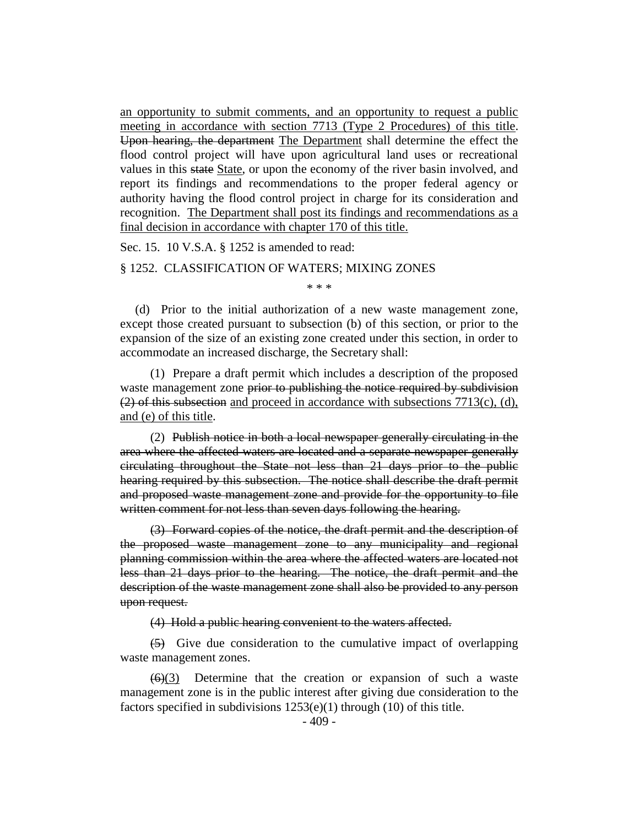an opportunity to submit comments, and an opportunity to request a public meeting in accordance with section 7713 (Type 2 Procedures) of this title. Upon hearing, the department The Department shall determine the effect the flood control project will have upon agricultural land uses or recreational values in this state State, or upon the economy of the river basin involved, and report its findings and recommendations to the proper federal agency or authority having the flood control project in charge for its consideration and recognition. The Department shall post its findings and recommendations as a final decision in accordance with chapter 170 of this title.

Sec. 15. 10 V.S.A. § 1252 is amended to read:

# § 1252. CLASSIFICATION OF WATERS; MIXING ZONES

\* \* \*

(d) Prior to the initial authorization of a new waste management zone, except those created pursuant to subsection (b) of this section, or prior to the expansion of the size of an existing zone created under this section, in order to accommodate an increased discharge, the Secretary shall:

(1) Prepare a draft permit which includes a description of the proposed waste management zone prior to publishing the notice required by subdivision  $(2)$  of this subsection and proceed in accordance with subsections 7713(c), (d), and (e) of this title.

(2) Publish notice in both a local newspaper generally circulating in the area where the affected waters are located and a separate newspaper generally circulating throughout the State not less than 21 days prior to the public hearing required by this subsection. The notice shall describe the draft permit and proposed waste management zone and provide for the opportunity to file written comment for not less than seven days following the hearing.

(3) Forward copies of the notice, the draft permit and the description of the proposed waste management zone to any municipality and regional planning commission within the area where the affected waters are located not less than 21 days prior to the hearing. The notice, the draft permit and the description of the waste management zone shall also be provided to any person upon request.

(4) Hold a public hearing convenient to the waters affected.

(5) Give due consideration to the cumulative impact of overlapping waste management zones.

 $(6)(3)$  Determine that the creation or expansion of such a waste management zone is in the public interest after giving due consideration to the factors specified in subdivisions 1253(e)(1) through (10) of this title.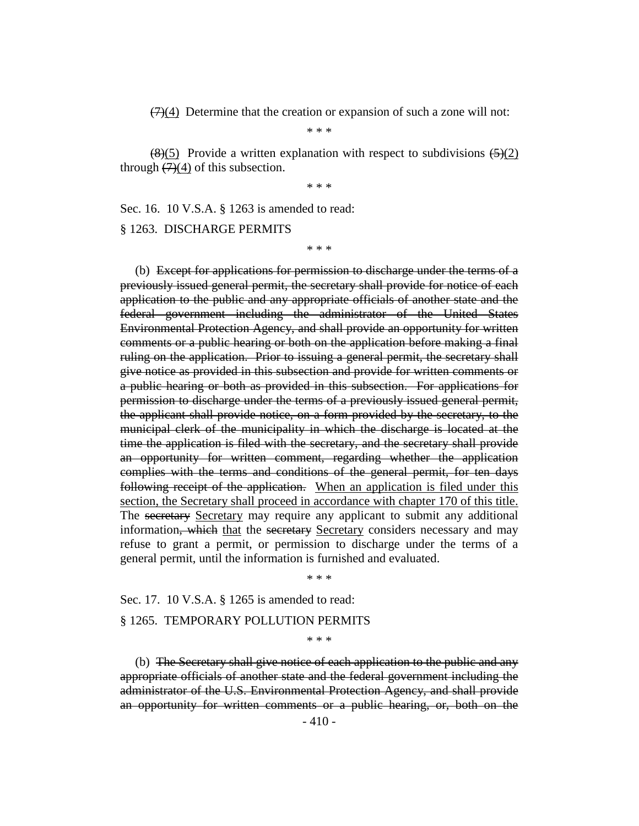$(7)(4)$  Determine that the creation or expansion of such a zone will not:

\* \* \*

 $\left(\frac{8}{5}\right)$  Provide a written explanation with respect to subdivisions  $\left(\frac{5}{2}\right)$ through  $(7)(4)$  of this subsection.

\* \* \*

Sec. 16. 10 V.S.A. § 1263 is amended to read:

§ 1263. DISCHARGE PERMITS

\* \* \*

(b) Except for applications for permission to discharge under the terms of a previously issued general permit, the secretary shall provide for notice of each application to the public and any appropriate officials of another state and the federal government including the administrator of the United States Environmental Protection Agency, and shall provide an opportunity for written comments or a public hearing or both on the application before making a final ruling on the application. Prior to issuing a general permit, the secretary shall give notice as provided in this subsection and provide for written comments or a public hearing or both as provided in this subsection. For applications for permission to discharge under the terms of a previously issued general permit, the applicant shall provide notice, on a form provided by the secretary, to the municipal clerk of the municipality in which the discharge is located at the time the application is filed with the secretary, and the secretary shall provide an opportunity for written comment, regarding whether the application complies with the terms and conditions of the general permit, for ten days following receipt of the application. When an application is filed under this section, the Secretary shall proceed in accordance with chapter 170 of this title. The secretary Secretary may require any applicant to submit any additional information, which that the secretary Secretary considers necessary and may refuse to grant a permit, or permission to discharge under the terms of a general permit, until the information is furnished and evaluated.

\* \* \*

Sec. 17. 10 V.S.A. § 1265 is amended to read:

#### § 1265. TEMPORARY POLLUTION PERMITS

\* \* \*

(b) The Secretary shall give notice of each application to the public and any appropriate officials of another state and the federal government including the administrator of the U.S. Environmental Protection Agency, and shall provide an opportunity for written comments or a public hearing, or, both on the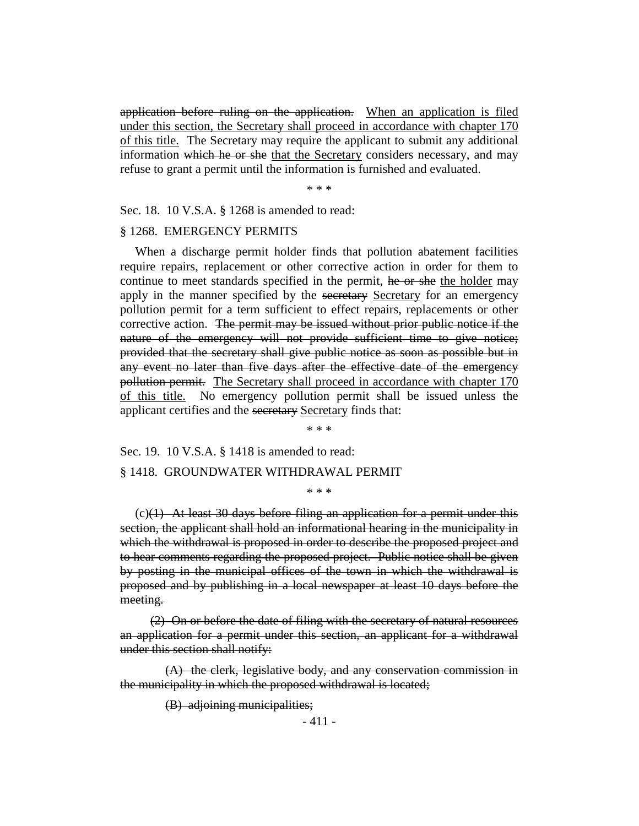application before ruling on the application. When an application is filed under this section, the Secretary shall proceed in accordance with chapter 170 of this title. The Secretary may require the applicant to submit any additional information which he or she that the Secretary considers necessary, and may refuse to grant a permit until the information is furnished and evaluated.

\* \* \*

Sec. 18. 10 V.S.A. § 1268 is amended to read:

# § 1268. EMERGENCY PERMITS

When a discharge permit holder finds that pollution abatement facilities require repairs, replacement or other corrective action in order for them to continue to meet standards specified in the permit, he or she the holder may apply in the manner specified by the secretary Secretary for an emergency pollution permit for a term sufficient to effect repairs, replacements or other corrective action. The permit may be issued without prior public notice if the nature of the emergency will not provide sufficient time to give notice; provided that the secretary shall give public notice as soon as possible but in any event no later than five days after the effective date of the emergency pollution permit. The Secretary shall proceed in accordance with chapter 170 of this title. No emergency pollution permit shall be issued unless the applicant certifies and the secretary Secretary finds that:

\* \* \*

Sec. 19. 10 V.S.A. § 1418 is amended to read:

#### § 1418. GROUNDWATER WITHDRAWAL PERMIT

\* \* \*

 $(c)(1)$  At least 30 days before filing an application for a permit under this section, the applicant shall hold an informational hearing in the municipality in which the withdrawal is proposed in order to describe the proposed project and to hear comments regarding the proposed project. Public notice shall be given by posting in the municipal offices of the town in which the withdrawal is proposed and by publishing in a local newspaper at least 10 days before the meeting.

(2) On or before the date of filing with the secretary of natural resources an application for a permit under this section, an applicant for a withdrawal under this section shall notify:

(A) the clerk, legislative body, and any conservation commission in the municipality in which the proposed withdrawal is located;

(B) adjoining municipalities;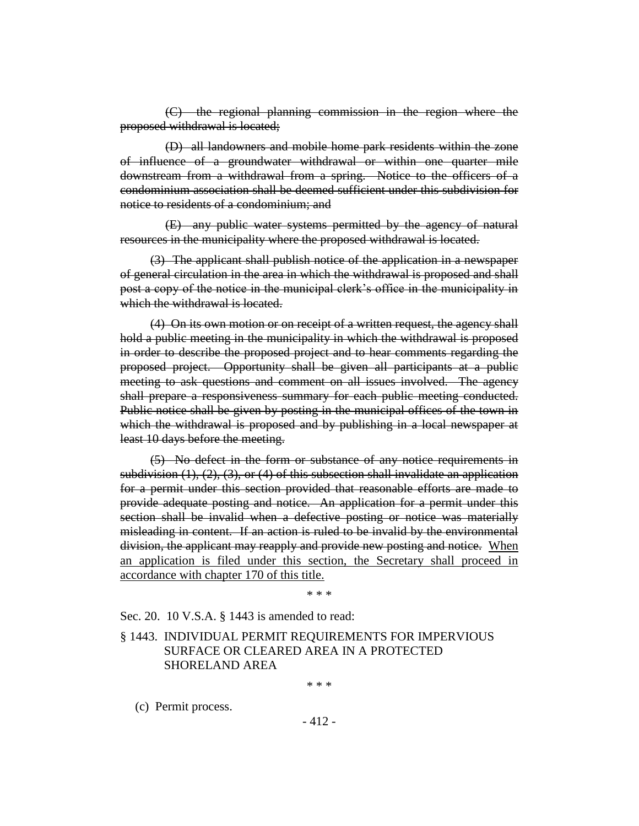(C) the regional planning commission in the region where the proposed withdrawal is located;

(D) all landowners and mobile home park residents within the zone of influence of a groundwater withdrawal or within one quarter mile downstream from a withdrawal from a spring. Notice to the officers of a condominium association shall be deemed sufficient under this subdivision for notice to residents of a condominium; and

(E) any public water systems permitted by the agency of natural resources in the municipality where the proposed withdrawal is located.

(3) The applicant shall publish notice of the application in a newspaper of general circulation in the area in which the withdrawal is proposed and shall post a copy of the notice in the municipal clerk's office in the municipality in which the withdrawal is located.

(4) On its own motion or on receipt of a written request, the agency shall hold a public meeting in the municipality in which the withdrawal is proposed in order to describe the proposed project and to hear comments regarding the proposed project. Opportunity shall be given all participants at a public meeting to ask questions and comment on all issues involved. The agency shall prepare a responsiveness summary for each public meeting conducted. Public notice shall be given by posting in the municipal offices of the town in which the withdrawal is proposed and by publishing in a local newspaper at least 10 days before the meeting.

(5) No defect in the form or substance of any notice requirements in subdivision  $(1), (2), (3)$ , or  $(4)$  of this subsection shall invalidate an application for a permit under this section provided that reasonable efforts are made to provide adequate posting and notice. An application for a permit under this section shall be invalid when a defective posting or notice was materially misleading in content. If an action is ruled to be invalid by the environmental division, the applicant may reapply and provide new posting and notice. When an application is filed under this section, the Secretary shall proceed in accordance with chapter 170 of this title.

\* \* \*

Sec. 20. 10 V.S.A. § 1443 is amended to read:

§ 1443. INDIVIDUAL PERMIT REQUIREMENTS FOR IMPERVIOUS SURFACE OR CLEARED AREA IN A PROTECTED SHORELAND AREA

\* \* \*

(c) Permit process.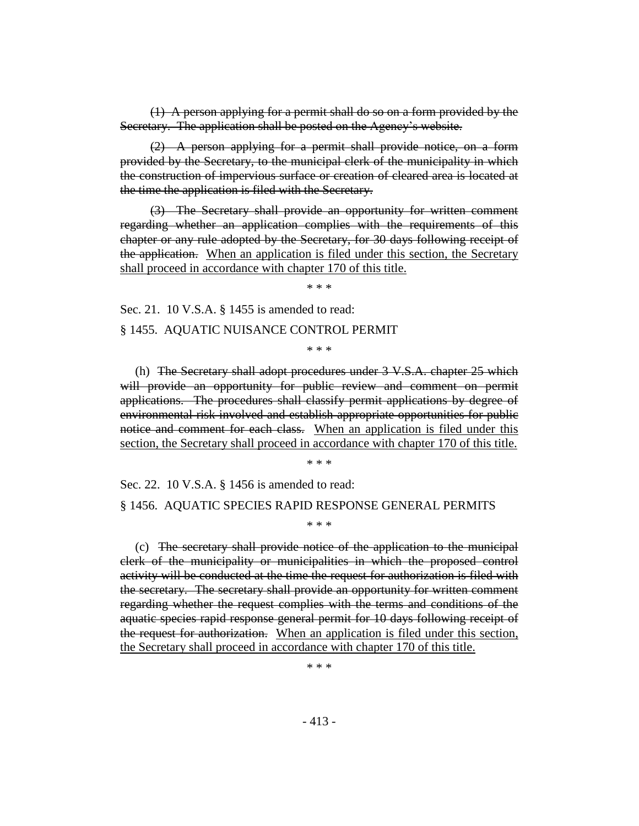(1) A person applying for a permit shall do so on a form provided by the Secretary. The application shall be posted on the Agency's website.

(2) A person applying for a permit shall provide notice, on a form provided by the Secretary, to the municipal clerk of the municipality in which the construction of impervious surface or creation of cleared area is located at the time the application is filed with the Secretary.

(3) The Secretary shall provide an opportunity for written comment regarding whether an application complies with the requirements of this chapter or any rule adopted by the Secretary, for 30 days following receipt of the application. When an application is filed under this section, the Secretary shall proceed in accordance with chapter 170 of this title.

\* \* \*

Sec. 21. 10 V.S.A. § 1455 is amended to read:

§ 1455. AQUATIC NUISANCE CONTROL PERMIT

\* \* \*

(h) The Secretary shall adopt procedures under 3 V.S.A. chapter 25 which will provide an opportunity for public review and comment on permit applications. The procedures shall classify permit applications by degree of environmental risk involved and establish appropriate opportunities for public notice and comment for each class. When an application is filed under this section, the Secretary shall proceed in accordance with chapter 170 of this title.

\* \* \*

Sec. 22. 10 V.S.A. § 1456 is amended to read:

#### § 1456. AQUATIC SPECIES RAPID RESPONSE GENERAL PERMITS

\* \* \*

(c) The secretary shall provide notice of the application to the municipal clerk of the municipality or municipalities in which the proposed control activity will be conducted at the time the request for authorization is filed with the secretary. The secretary shall provide an opportunity for written comment regarding whether the request complies with the terms and conditions of the aquatic species rapid response general permit for 10 days following receipt of the request for authorization. When an application is filed under this section, the Secretary shall proceed in accordance with chapter 170 of this title.

\* \* \*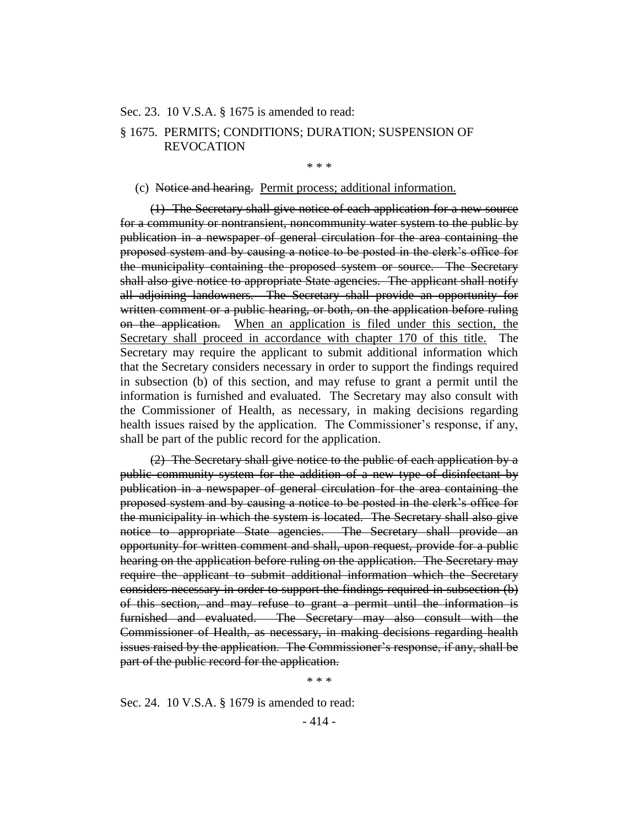#### Sec. 23. 10 V.S.A. § 1675 is amended to read:

# § 1675. PERMITS; CONDITIONS; DURATION; SUSPENSION OF REVOCATION

\* \* \*

#### (c) Notice and hearing. Permit process; additional information.

(1) The Secretary shall give notice of each application for a new source for a community or nontransient, noncommunity water system to the public by publication in a newspaper of general circulation for the area containing the proposed system and by causing a notice to be posted in the clerk's office for the municipality containing the proposed system or source. The Secretary shall also give notice to appropriate State agencies. The applicant shall notify all adjoining landowners. The Secretary shall provide an opportunity for written comment or a public hearing, or both, on the application before ruling on the application. When an application is filed under this section, the Secretary shall proceed in accordance with chapter 170 of this title. The Secretary may require the applicant to submit additional information which that the Secretary considers necessary in order to support the findings required in subsection (b) of this section, and may refuse to grant a permit until the information is furnished and evaluated. The Secretary may also consult with the Commissioner of Health, as necessary, in making decisions regarding health issues raised by the application. The Commissioner's response, if any, shall be part of the public record for the application.

(2) The Secretary shall give notice to the public of each application by a public community system for the addition of a new type of disinfectant by publication in a newspaper of general circulation for the area containing the proposed system and by causing a notice to be posted in the clerk's office for the municipality in which the system is located. The Secretary shall also give notice to appropriate State agencies. The Secretary shall provide an opportunity for written comment and shall, upon request, provide for a public hearing on the application before ruling on the application. The Secretary may require the applicant to submit additional information which the Secretary considers necessary in order to support the findings required in subsection (b) of this section, and may refuse to grant a permit until the information is furnished and evaluated. The Secretary may also consult with the Commissioner of Health, as necessary, in making decisions regarding health issues raised by the application. The Commissioner's response, if any, shall be part of the public record for the application.

\* \* \*

Sec. 24. 10 V.S.A. § 1679 is amended to read: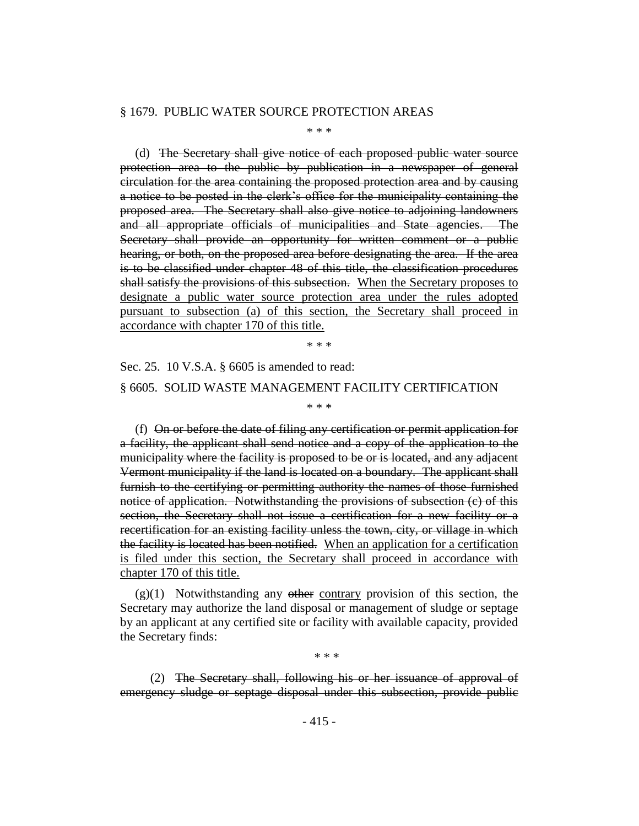#### § 1679. PUBLIC WATER SOURCE PROTECTION AREAS

\* \* \*

(d) The Secretary shall give notice of each proposed public water source protection area to the public by publication in a newspaper of general circulation for the area containing the proposed protection area and by causing a notice to be posted in the clerk's office for the municipality containing the proposed area. The Secretary shall also give notice to adjoining landowners and all appropriate officials of municipalities and State agencies. The Secretary shall provide an opportunity for written comment or a public hearing, or both, on the proposed area before designating the area. If the area is to be classified under chapter 48 of this title, the classification procedures shall satisfy the provisions of this subsection. When the Secretary proposes to designate a public water source protection area under the rules adopted pursuant to subsection (a) of this section, the Secretary shall proceed in accordance with chapter 170 of this title.

\* \* \*

\* \* \*

Sec. 25. 10 V.S.A. § 6605 is amended to read: § 6605. SOLID WASTE MANAGEMENT FACILITY CERTIFICATION

(f) On or before the date of filing any certification or permit application for a facility, the applicant shall send notice and a copy of the application to the municipality where the facility is proposed to be or is located, and any adjacent Vermont municipality if the land is located on a boundary. The applicant shall furnish to the certifying or permitting authority the names of those furnished notice of application. Notwithstanding the provisions of subsection (c) of this section, the Secretary shall not issue a certification for a new facility or a recertification for an existing facility unless the town, city, or village in which the facility is located has been notified. When an application for a certification is filed under this section, the Secretary shall proceed in accordance with chapter 170 of this title.

 $(g)(1)$  Notwithstanding any other contrary provision of this section, the Secretary may authorize the land disposal or management of sludge or septage by an applicant at any certified site or facility with available capacity, provided the Secretary finds:

\* \* \*

(2) The Secretary shall, following his or her issuance of approval of emergency sludge or septage disposal under this subsection, provide public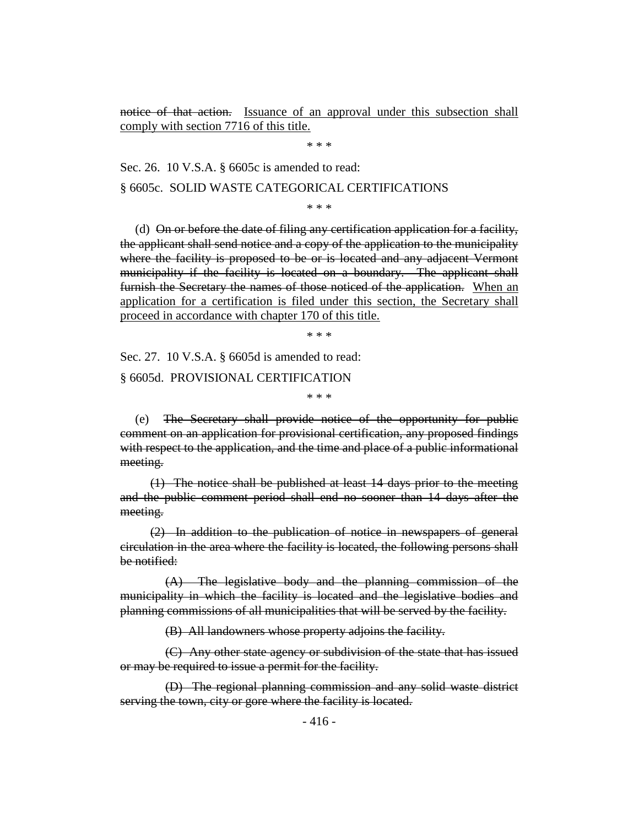notice of that action. Issuance of an approval under this subsection shall comply with section 7716 of this title.

\* \* \*

Sec. 26. 10 V.S.A. § 6605c is amended to read:

§ 6605c. SOLID WASTE CATEGORICAL CERTIFICATIONS

\* \* \*

(d) On or before the date of filing any certification application for a facility, the applicant shall send notice and a copy of the application to the municipality where the facility is proposed to be or is located and any adjacent Vermont municipality if the facility is located on a boundary. The applicant shall furnish the Secretary the names of those noticed of the application. When an application for a certification is filed under this section, the Secretary shall proceed in accordance with chapter 170 of this title.

\* \* \*

Sec. 27. 10 V.S.A. § 6605d is amended to read: § 6605d. PROVISIONAL CERTIFICATION

\* \* \*

(e) The Secretary shall provide notice of the opportunity for public comment on an application for provisional certification, any proposed findings with respect to the application, and the time and place of a public informational meeting.

(1) The notice shall be published at least 14 days prior to the meeting and the public comment period shall end no sooner than 14 days after the meeting.

(2) In addition to the publication of notice in newspapers of general circulation in the area where the facility is located, the following persons shall be notified:

(A) The legislative body and the planning commission of the municipality in which the facility is located and the legislative bodies and planning commissions of all municipalities that will be served by the facility.

(B) All landowners whose property adjoins the facility.

(C) Any other state agency or subdivision of the state that has issued or may be required to issue a permit for the facility.

(D) The regional planning commission and any solid waste district serving the town, city or gore where the facility is located.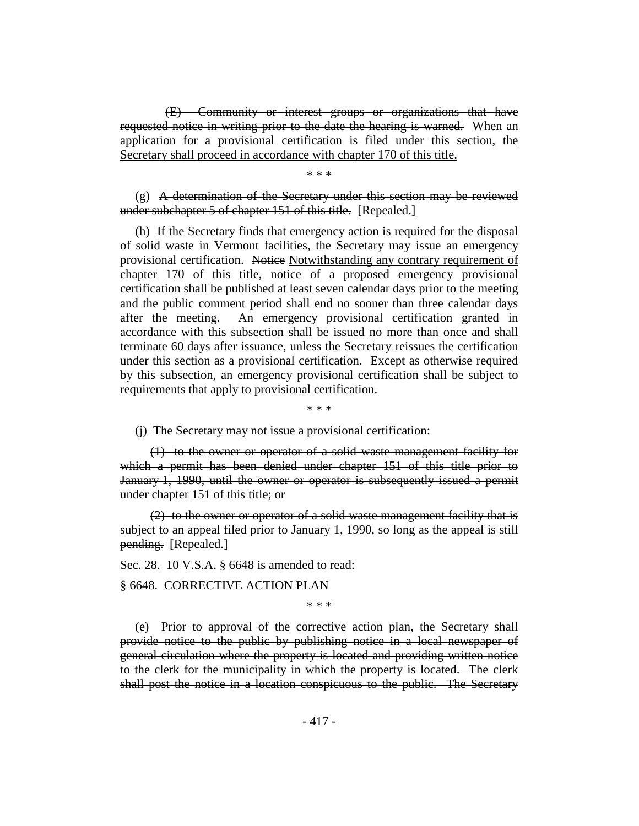(E) Community or interest groups or organizations that have requested notice in writing prior to the date the hearing is warned. When an application for a provisional certification is filed under this section, the Secretary shall proceed in accordance with chapter 170 of this title.

\* \* \*

# $(g)$  A determination of the Secretary under this section may be reviewed under subchapter 5 of chapter 151 of this title. [Repealed.]

(h) If the Secretary finds that emergency action is required for the disposal of solid waste in Vermont facilities, the Secretary may issue an emergency provisional certification. Notice Notwithstanding any contrary requirement of chapter 170 of this title, notice of a proposed emergency provisional certification shall be published at least seven calendar days prior to the meeting and the public comment period shall end no sooner than three calendar days after the meeting. An emergency provisional certification granted in accordance with this subsection shall be issued no more than once and shall terminate 60 days after issuance, unless the Secretary reissues the certification under this section as a provisional certification. Except as otherwise required by this subsection, an emergency provisional certification shall be subject to requirements that apply to provisional certification.

\* \* \*

# (j) The Secretary may not issue a provisional certification:

(1) to the owner or operator of a solid waste management facility for which a permit has been denied under chapter 151 of this title prior to January 1, 1990, until the owner or operator is subsequently issued a permit under chapter 151 of this title; or

(2) to the owner or operator of a solid waste management facility that is subject to an appeal filed prior to January 1, 1990, so long as the appeal is still pending. [Repealed.]

Sec. 28. 10 V.S.A. § 6648 is amended to read:

§ 6648. CORRECTIVE ACTION PLAN

\* \* \*

(e) Prior to approval of the corrective action plan, the Secretary shall provide notice to the public by publishing notice in a local newspaper of general circulation where the property is located and providing written notice to the clerk for the municipality in which the property is located. The clerk shall post the notice in a location conspicuous to the public. The Secretary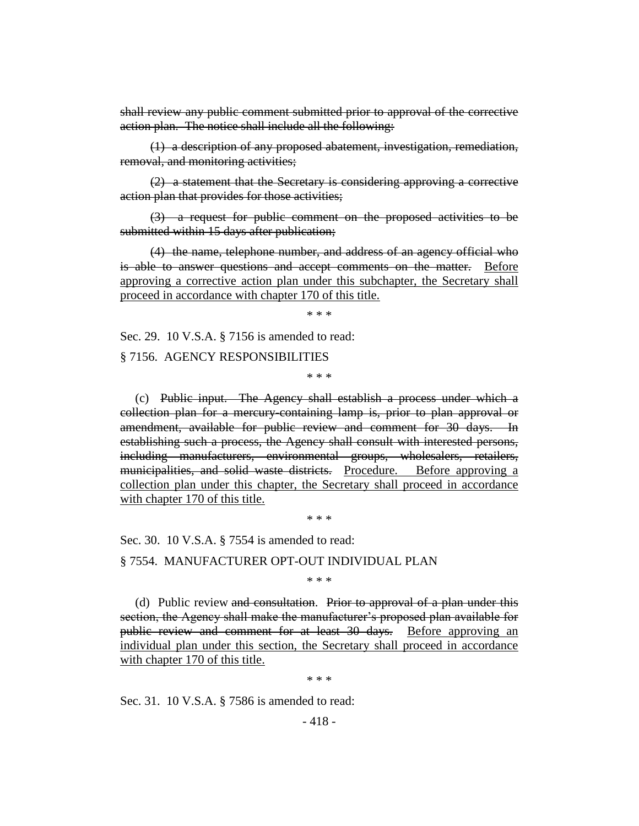shall review any public comment submitted prior to approval of the corrective action plan. The notice shall include all the following:

(1) a description of any proposed abatement, investigation, remediation, removal, and monitoring activities;

(2) a statement that the Secretary is considering approving a corrective action plan that provides for those activities;

(3) a request for public comment on the proposed activities to be submitted within 15 days after publication;

(4) the name, telephone number, and address of an agency official who is able to answer questions and accept comments on the matter. Before approving a corrective action plan under this subchapter, the Secretary shall proceed in accordance with chapter 170 of this title.

\* \* \*

Sec. 29. 10 V.S.A. § 7156 is amended to read:

§ 7156. AGENCY RESPONSIBILITIES

\* \* \*

(c) Public input. The Agency shall establish a process under which a collection plan for a mercury-containing lamp is, prior to plan approval or amendment, available for public review and comment for 30 days. In establishing such a process, the Agency shall consult with interested persons, including manufacturers, environmental groups, wholesalers, retailers, municipalities, and solid waste districts. Procedure. Before approving a collection plan under this chapter, the Secretary shall proceed in accordance with chapter 170 of this title.

\* \* \*

Sec. 30. 10 V.S.A. § 7554 is amended to read:

§ 7554. MANUFACTURER OPT-OUT INDIVIDUAL PLAN

\* \* \*

(d) Public review and consultation. Prior to approval of a plan under this section, the Agency shall make the manufacturer's proposed plan available for public review and comment for at least 30 days. Before approving an individual plan under this section, the Secretary shall proceed in accordance with chapter 170 of this title.

\* \* \*

Sec. 31. 10 V.S.A. § 7586 is amended to read: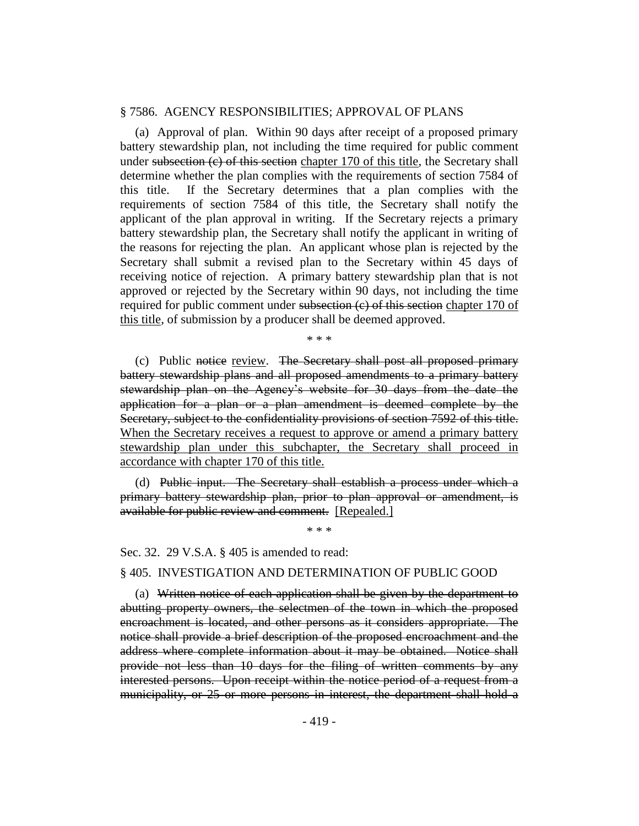#### § 7586. AGENCY RESPONSIBILITIES; APPROVAL OF PLANS

(a) Approval of plan. Within 90 days after receipt of a proposed primary battery stewardship plan, not including the time required for public comment under subsection  $(c)$  of this section chapter 170 of this title, the Secretary shall determine whether the plan complies with the requirements of section 7584 of this title. If the Secretary determines that a plan complies with the requirements of section 7584 of this title, the Secretary shall notify the applicant of the plan approval in writing. If the Secretary rejects a primary battery stewardship plan, the Secretary shall notify the applicant in writing of the reasons for rejecting the plan. An applicant whose plan is rejected by the Secretary shall submit a revised plan to the Secretary within 45 days of receiving notice of rejection. A primary battery stewardship plan that is not approved or rejected by the Secretary within 90 days, not including the time required for public comment under subsection (e) of this section chapter 170 of this title, of submission by a producer shall be deemed approved.

\* \* \*

(c) Public notice review. The Secretary shall post all proposed primary battery stewardship plans and all proposed amendments to a primary battery stewardship plan on the Agency's website for 30 days from the date the application for a plan or a plan amendment is deemed complete by the Secretary, subject to the confidentiality provisions of section 7592 of this title. When the Secretary receives a request to approve or amend a primary battery stewardship plan under this subchapter, the Secretary shall proceed in accordance with chapter 170 of this title.

(d) Public input. The Secretary shall establish a process under which a primary battery stewardship plan, prior to plan approval or amendment, is available for public review and comment. [Repealed.]

\* \* \*

Sec. 32. 29 V.S.A. § 405 is amended to read:

# § 405. INVESTIGATION AND DETERMINATION OF PUBLIC GOOD

(a) Written notice of each application shall be given by the department to abutting property owners, the selectmen of the town in which the proposed encroachment is located, and other persons as it considers appropriate. The notice shall provide a brief description of the proposed encroachment and the address where complete information about it may be obtained. Notice shall provide not less than 10 days for the filing of written comments by any interested persons. Upon receipt within the notice period of a request from a municipality, or 25 or more persons in interest, the department shall hold a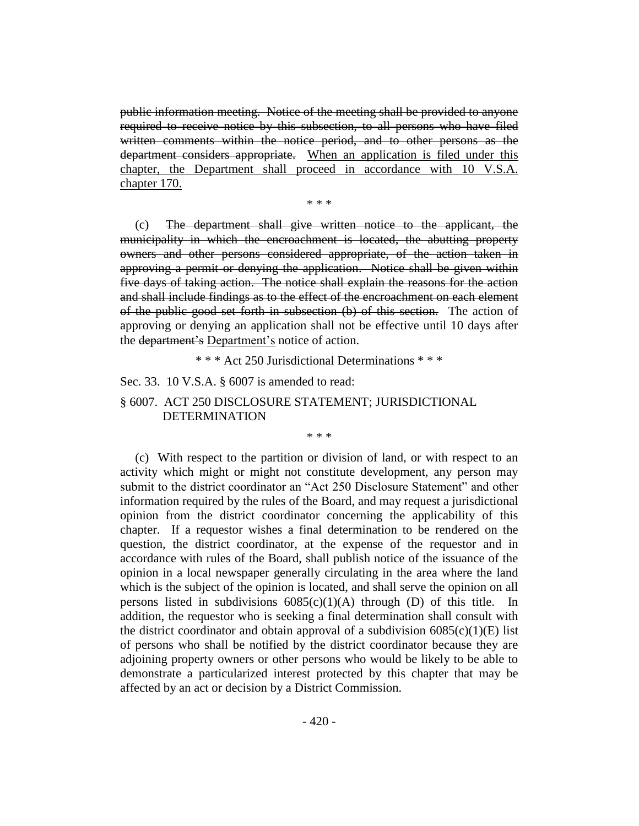public information meeting. Notice of the meeting shall be provided to anyone required to receive notice by this subsection, to all persons who have filed written comments within the notice period, and to other persons as the department considers appropriate. When an application is filed under this chapter, the Department shall proceed in accordance with 10 V.S.A. chapter 170.

\* \* \*

(c) The department shall give written notice to the applicant, the municipality in which the encroachment is located, the abutting property owners and other persons considered appropriate, of the action taken in approving a permit or denying the application. Notice shall be given within five days of taking action. The notice shall explain the reasons for the action and shall include findings as to the effect of the encroachment on each element of the public good set forth in subsection (b) of this section. The action of approving or denying an application shall not be effective until 10 days after the department's Department's notice of action.

\* \* \* Act 250 Jurisdictional Determinations \* \* \*

Sec. 33. 10 V.S.A. § 6007 is amended to read:

# § 6007. ACT 250 DISCLOSURE STATEMENT; JURISDICTIONAL DETERMINATION

\* \* \*

(c) With respect to the partition or division of land, or with respect to an activity which might or might not constitute development, any person may submit to the district coordinator an "Act 250 Disclosure Statement" and other information required by the rules of the Board, and may request a jurisdictional opinion from the district coordinator concerning the applicability of this chapter. If a requestor wishes a final determination to be rendered on the question, the district coordinator, at the expense of the requestor and in accordance with rules of the Board, shall publish notice of the issuance of the opinion in a local newspaper generally circulating in the area where the land which is the subject of the opinion is located, and shall serve the opinion on all persons listed in subdivisions  $6085(c)(1)(A)$  through (D) of this title. In addition, the requestor who is seeking a final determination shall consult with the district coordinator and obtain approval of a subdivision  $6085(c)(1)(E)$  list of persons who shall be notified by the district coordinator because they are adjoining property owners or other persons who would be likely to be able to demonstrate a particularized interest protected by this chapter that may be affected by an act or decision by a District Commission.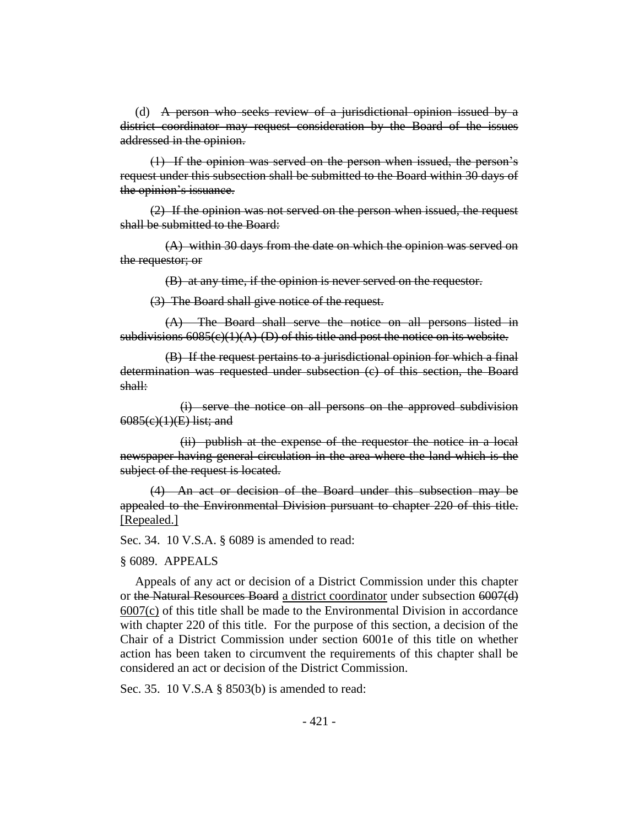(d) A person who seeks review of a jurisdictional opinion issued by a district coordinator may request consideration by the Board of the issues addressed in the opinion.

(1) If the opinion was served on the person when issued, the person's request under this subsection shall be submitted to the Board within 30 days of the opinion's issuance.

(2) If the opinion was not served on the person when issued, the request shall be submitted to the Board:

(A) within 30 days from the date on which the opinion was served on the requestor; or

(B) at any time, if the opinion is never served on the requestor.

(3) The Board shall give notice of the request.

(A) The Board shall serve the notice on all persons listed in subdivisions  $6085(c)(1)(A)$ -(D) of this title and post the notice on its website.

(B) If the request pertains to a jurisdictional opinion for which a final determination was requested under subsection (c) of this section, the Board shall:

(i) serve the notice on all persons on the approved subdivision 6085(c)(1)(E) list; and

(ii) publish at the expense of the requestor the notice in a local newspaper having general circulation in the area where the land which is the subject of the request is located.

(4) An act or decision of the Board under this subsection may be appealed to the Environmental Division pursuant to chapter 220 of this title. [Repealed.]

Sec. 34. 10 V.S.A. § 6089 is amended to read:

#### § 6089. APPEALS

Appeals of any act or decision of a District Commission under this chapter or the Natural Resources Board a district coordinator under subsection 6007(d) 6007(c) of this title shall be made to the Environmental Division in accordance with chapter 220 of this title. For the purpose of this section, a decision of the Chair of a District Commission under section 6001e of this title on whether action has been taken to circumvent the requirements of this chapter shall be considered an act or decision of the District Commission.

Sec. 35. 10 V.S.A § 8503(b) is amended to read: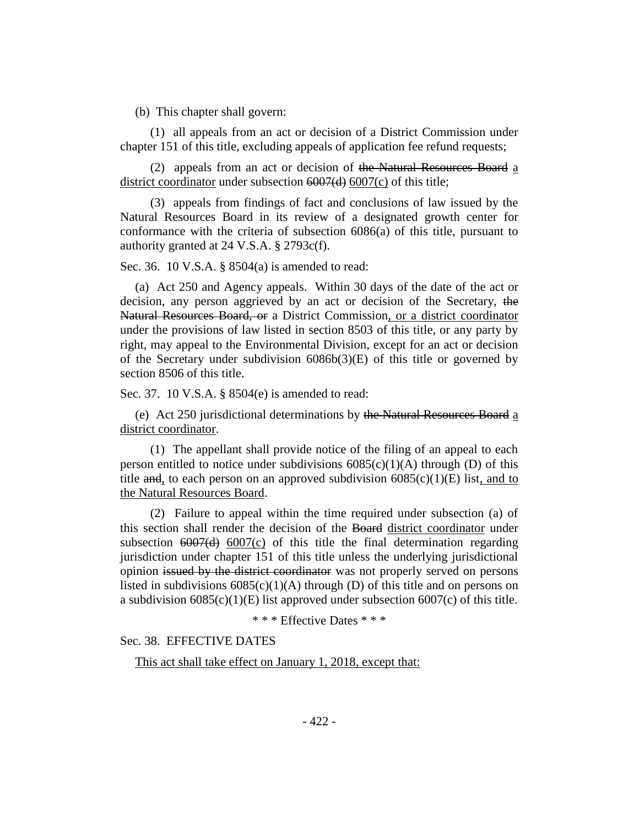(b) This chapter shall govern:

(1) all appeals from an act or decision of a District Commission under chapter 151 of this title, excluding appeals of application fee refund requests;

(2) appeals from an act or decision of the Natural Resources Board a district coordinator under subsection 6007(d) 6007(c) of this title;

(3) appeals from findings of fact and conclusions of law issued by the Natural Resources Board in its review of a designated growth center for conformance with the criteria of subsection 6086(a) of this title, pursuant to authority granted at 24 V.S.A. § 2793c(f).

Sec. 36. 10 V.S.A. § 8504(a) is amended to read:

(a) Act 250 and Agency appeals. Within 30 days of the date of the act or decision, any person aggrieved by an act or decision of the Secretary, the Natural Resources Board, or a District Commission, or a district coordinator under the provisions of law listed in section 8503 of this title, or any party by right, may appeal to the Environmental Division, except for an act or decision of the Secretary under subdivision 6086b(3)(E) of this title or governed by section 8506 of this title.

Sec. 37. 10 V.S.A. § 8504(e) is amended to read:

(e) Act 250 jurisdictional determinations by the Natural Resources Board a district coordinator.

(1) The appellant shall provide notice of the filing of an appeal to each person entitled to notice under subdivisions  $6085(c)(1)(A)$  through (D) of this title and, to each person on an approved subdivision  $6085(c)(1)(E)$  list, and to the Natural Resources Board.

(2) Failure to appeal within the time required under subsection (a) of this section shall render the decision of the Board district coordinator under subsection  $6007(d)$  6007(c) of this title the final determination regarding jurisdiction under chapter 151 of this title unless the underlying jurisdictional opinion issued by the district coordinator was not properly served on persons listed in subdivisions  $6085(c)(1)(A)$  through (D) of this title and on persons on a subdivision  $6085(c)(1)(E)$  list approved under subsection  $6007(c)$  of this title.

\* \* \* Effective Dates \* \* \*

Sec. 38. EFFECTIVE DATES

This act shall take effect on January 1, 2018, except that: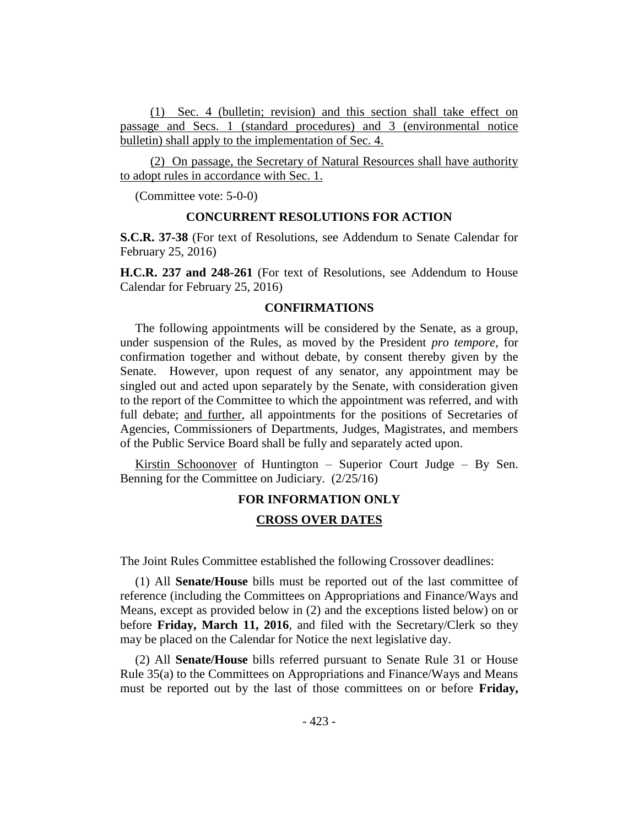(1) Sec. 4 (bulletin; revision) and this section shall take effect on passage and Secs. 1 (standard procedures) and 3 (environmental notice bulletin) shall apply to the implementation of Sec. 4.

(2) On passage, the Secretary of Natural Resources shall have authority to adopt rules in accordance with Sec. 1.

(Committee vote: 5-0-0)

#### **CONCURRENT RESOLUTIONS FOR ACTION**

**S.C.R. 37-38** (For text of Resolutions, see Addendum to Senate Calendar for February 25, 2016)

**H.C.R. 237 and 248-261** (For text of Resolutions, see Addendum to House Calendar for February 25, 2016)

#### **CONFIRMATIONS**

The following appointments will be considered by the Senate, as a group, under suspension of the Rules, as moved by the President *pro tempore,* for confirmation together and without debate, by consent thereby given by the Senate. However, upon request of any senator, any appointment may be singled out and acted upon separately by the Senate, with consideration given to the report of the Committee to which the appointment was referred, and with full debate; and further, all appointments for the positions of Secretaries of Agencies, Commissioners of Departments, Judges, Magistrates, and members of the Public Service Board shall be fully and separately acted upon.

Kirstin Schoonover of Huntington – Superior Court Judge – By Sen. Benning for the Committee on Judiciary. (2/25/16)

# **FOR INFORMATION ONLY**

# **CROSS OVER DATES**

The Joint Rules Committee established the following Crossover deadlines:

(1) All **Senate/House** bills must be reported out of the last committee of reference (including the Committees on Appropriations and Finance/Ways and Means, except as provided below in (2) and the exceptions listed below) on or before **Friday, March 11, 2016**, and filed with the Secretary/Clerk so they may be placed on the Calendar for Notice the next legislative day.

(2) All **Senate/House** bills referred pursuant to Senate Rule 31 or House Rule 35(a) to the Committees on Appropriations and Finance/Ways and Means must be reported out by the last of those committees on or before **Friday,**